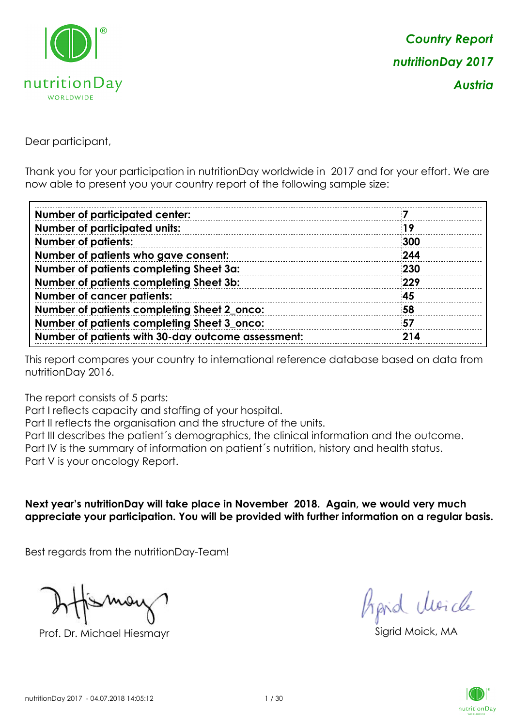

Dear participant,

Thank you for your participation in nutritionDay worldwide in 2017 and for your effort. We are now able to present you your country report of the following sample size:

| <b>Number of participated center:</b>              |     |
|----------------------------------------------------|-----|
| <b>Number of participated units:</b>               | 19  |
| <b>Number of patients:</b>                         | 300 |
| Number of patients who gave consent:               | 244 |
| Number of patients completing Sheet 3a:            | 230 |
| Number of patients completing Sheet 3b:            | 229 |
| <b>Number of cancer patients:</b>                  | 45  |
| Number of patients completing Sheet 2_onco:        | 58  |
| Number of patients completing Sheet 3_onco:        | 57  |
| Number of patients with 30-day outcome assessment: | 214 |

This report compares your country to international reference database based on data from nutritionDay 2016.

The report consists of 5 parts:

Part I reflects capacity and staffing of your hospital.

Part II reflects the organisation and the structure of the units.

Part III describes the patient´s demographics, the clinical information and the outcome.

Part IV is the summary of information on patient´s nutrition, history and health status.

Part V is your oncology Report.

**Next year's nutritionDay will take place in November 2018. Again, we would very much appreciate your participation. You will be provided with further information on a regular basis.**

Best regards from the nutritionDay-Team!

Prof. Dr. Michael Hiesmayr Sigrid Moick, MA

fraid Moicle

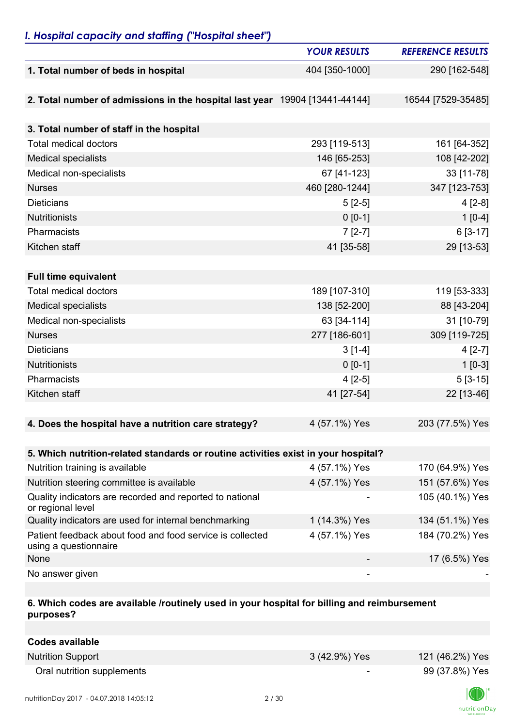# *I. Hospital capacity and staffing ("Hospital sheet")*

|                                                                                    | <b>YOUR RESULTS</b> | <b>REFERENCE RESULTS</b> |
|------------------------------------------------------------------------------------|---------------------|--------------------------|
| 1. Total number of beds in hospital                                                | 404 [350-1000]      | 290 [162-548]            |
|                                                                                    |                     |                          |
| 2. Total number of admissions in the hospital last year 19904 [13441-44144]        |                     | 16544 [7529-35485]       |
|                                                                                    |                     |                          |
| 3. Total number of staff in the hospital                                           |                     |                          |
| <b>Total medical doctors</b>                                                       | 293 [119-513]       | 161 [64-352]             |
| <b>Medical specialists</b>                                                         | 146 [65-253]        | 108 [42-202]             |
| Medical non-specialists                                                            | 67 [41-123]         | 33 [11-78]               |
| <b>Nurses</b>                                                                      | 460 [280-1244]      | 347 [123-753]            |
| <b>Dieticians</b>                                                                  | $5[2-5]$            | $4[2-8]$                 |
| <b>Nutritionists</b>                                                               | $0 [0-1]$           | $1[0-4]$                 |
| Pharmacists                                                                        | $7[2-7]$            | $6[3-17]$                |
| Kitchen staff                                                                      | 41 [35-58]          | 29 [13-53]               |
|                                                                                    |                     |                          |
| <b>Full time equivalent</b>                                                        |                     |                          |
| <b>Total medical doctors</b>                                                       | 189 [107-310]       | 119 [53-333]             |
| <b>Medical specialists</b>                                                         | 138 [52-200]        | 88 [43-204]              |
| Medical non-specialists                                                            | 63 [34-114]         | 31 [10-79]               |
| <b>Nurses</b>                                                                      | 277 [186-601]       | 309 [119-725]            |
| <b>Dieticians</b>                                                                  | $3[1-4]$            | $4[2-7]$                 |
| <b>Nutritionists</b>                                                               | $0 [0-1]$           | $1 [0-3]$                |
| Pharmacists                                                                        | $4[2-5]$            | $5[3-15]$                |
| Kitchen staff                                                                      | 41 [27-54]          | 22 [13-46]               |
|                                                                                    |                     |                          |
| 4. Does the hospital have a nutrition care strategy?                               | 4 (57.1%) Yes       | 203 (77.5%) Yes          |
|                                                                                    |                     |                          |
| 5. Which nutrition-related standards or routine activities exist in your hospital? |                     |                          |
| Nutrition training is available                                                    | 4 (57.1%) Yes       | 170 (64.9%) Yes          |
| Nutrition steering committee is available                                          | 4 (57.1%) Yes       | 151 (57.6%) Yes          |
| Quality indicators are recorded and reported to national<br>or regional level      |                     | 105 (40.1%) Yes          |
| Quality indicators are used for internal benchmarking                              | 1 (14.3%) Yes       | 134 (51.1%) Yes          |
| Patient feedback about food and food service is collected<br>using a questionnaire | 4 (57.1%) Yes       | 184 (70.2%) Yes          |
| None                                                                               |                     | 17 (6.5%) Yes            |
| No answer given                                                                    |                     |                          |

#### **6. Which codes are available /routinely used in your hospital for billing and reimbursement purposes?**

| Codes available            |               |                 |
|----------------------------|---------------|-----------------|
| <b>Nutrition Support</b>   | 3 (42.9%) Yes | 121 (46.2%) Yes |
| Oral nutrition supplements | $\sim$        | 99 (37.8%) Yes  |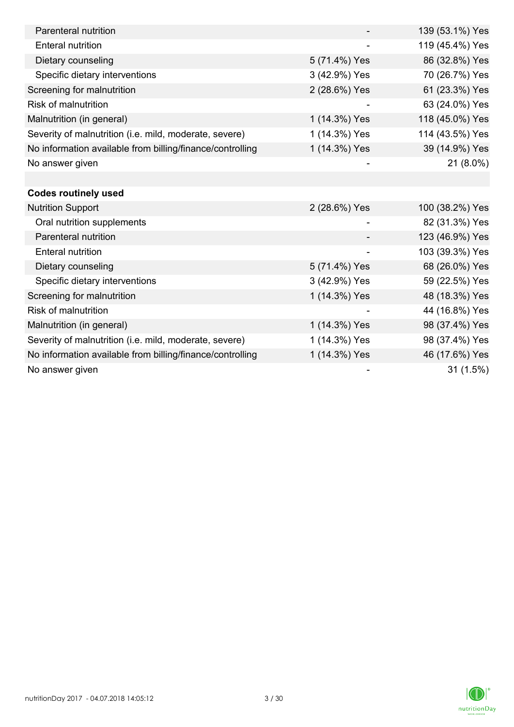| Parenteral nutrition                                      |               | 139 (53.1%) Yes |
|-----------------------------------------------------------|---------------|-----------------|
| <b>Enteral nutrition</b>                                  |               | 119 (45.4%) Yes |
| Dietary counseling                                        | 5 (71.4%) Yes | 86 (32.8%) Yes  |
| Specific dietary interventions                            | 3 (42.9%) Yes | 70 (26.7%) Yes  |
| Screening for malnutrition                                | 2 (28.6%) Yes | 61 (23.3%) Yes  |
| <b>Risk of malnutrition</b>                               |               | 63 (24.0%) Yes  |
| Malnutrition (in general)                                 | 1 (14.3%) Yes | 118 (45.0%) Yes |
| Severity of malnutrition (i.e. mild, moderate, severe)    | 1 (14.3%) Yes | 114 (43.5%) Yes |
| No information available from billing/finance/controlling | 1 (14.3%) Yes | 39 (14.9%) Yes  |
| No answer given                                           |               | 21 (8.0%)       |
|                                                           |               |                 |
| <b>Codes routinely used</b>                               |               |                 |
| <b>Nutrition Support</b>                                  | 2 (28.6%) Yes | 100 (38.2%) Yes |
| Oral nutrition supplements                                |               | 82 (31.3%) Yes  |
| Parenteral nutrition                                      |               | 123 (46.9%) Yes |
| <b>Enteral nutrition</b>                                  |               | 103 (39.3%) Yes |
| Dietary counseling                                        | 5 (71.4%) Yes | 68 (26.0%) Yes  |
| Specific dietary interventions                            | 3 (42.9%) Yes | 59 (22.5%) Yes  |
| Screening for malnutrition                                | 1 (14.3%) Yes | 48 (18.3%) Yes  |
| Risk of malnutrition                                      |               | 44 (16.8%) Yes  |
| Malnutrition (in general)                                 | 1 (14.3%) Yes | 98 (37.4%) Yes  |
| Severity of malnutrition (i.e. mild, moderate, severe)    | 1 (14.3%) Yes | 98 (37.4%) Yes  |
| No information available from billing/finance/controlling | 1 (14.3%) Yes | 46 (17.6%) Yes  |
| No answer given                                           |               | 31(1.5%)        |

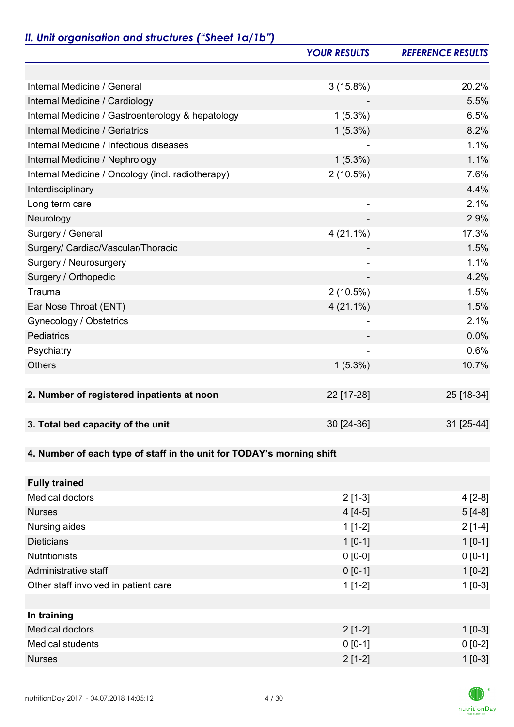# *II. Unit organisation and structures ("Sheet 1a/1b")*

|                                                                       | <b>YOUR RESULTS</b> | <b>REFERENCE RESULTS</b> |
|-----------------------------------------------------------------------|---------------------|--------------------------|
|                                                                       |                     |                          |
| Internal Medicine / General                                           | 3(15.8%)            | 20.2%                    |
| Internal Medicine / Cardiology                                        |                     | 5.5%                     |
| Internal Medicine / Gastroenterology & hepatology                     | $1(5.3\%)$          | 6.5%                     |
| Internal Medicine / Geriatrics                                        | $1(5.3\%)$          | 8.2%                     |
| Internal Medicine / Infectious diseases                               |                     | 1.1%                     |
| Internal Medicine / Nephrology                                        | $1(5.3\%)$          | 1.1%                     |
| Internal Medicine / Oncology (incl. radiotherapy)                     | 2(10.5%)            | 7.6%                     |
| Interdisciplinary                                                     |                     | 4.4%                     |
| Long term care                                                        |                     | 2.1%                     |
| Neurology                                                             |                     | 2.9%                     |
| Surgery / General                                                     | $4(21.1\%)$         | 17.3%                    |
| Surgery/ Cardiac/Vascular/Thoracic                                    |                     | 1.5%                     |
| Surgery / Neurosurgery                                                |                     | 1.1%                     |
| Surgery / Orthopedic                                                  |                     | 4.2%                     |
| Trauma                                                                | $2(10.5\%)$         | 1.5%                     |
| Ear Nose Throat (ENT)                                                 | $4(21.1\%)$         | 1.5%                     |
| Gynecology / Obstetrics                                               | $\overline{a}$      | 2.1%                     |
| Pediatrics                                                            |                     | 0.0%                     |
| Psychiatry                                                            |                     | 0.6%                     |
| <b>Others</b>                                                         | $1(5.3\%)$          | 10.7%                    |
|                                                                       |                     |                          |
| 2. Number of registered inpatients at noon                            | 22 [17-28]          | 25 [18-34]               |
|                                                                       |                     |                          |
| 3. Total bed capacity of the unit                                     | 30 [24-36]          | 31 [25-44]               |
|                                                                       |                     |                          |
| 4. Number of each type of staff in the unit for TODAY's morning shift |                     |                          |
|                                                                       |                     |                          |
| <b>Fully trained</b>                                                  |                     |                          |
| <b>Medical doctors</b>                                                | $2[1-3]$            | $4[2-8]$                 |
| <b>Nurses</b>                                                         | $4[4-5]$            | $5[4-8]$                 |
| Nursing aides                                                         | $1[1-2]$            | $2[1-4]$                 |
| <b>Dieticians</b>                                                     | $1[0-1]$            | $1 [0-1]$                |
| <b>Nutritionists</b>                                                  | $0 [0-0]$           | $0 [0-1]$                |
| Administrative staff                                                  | $0 [0-1]$           | $1[0-2]$                 |
| Other staff involved in patient care                                  | $1[1-2]$            | $1[0-3]$                 |
|                                                                       |                     |                          |
| In training                                                           |                     |                          |
| <b>Medical doctors</b>                                                | $2[1-2]$            | $1$ [0-3]                |
| <b>Medical students</b>                                               | $0 [0-1]$           | $0 [0-2]$                |
| <b>Nurses</b>                                                         | $2[1-2]$            | $1 [0-3]$                |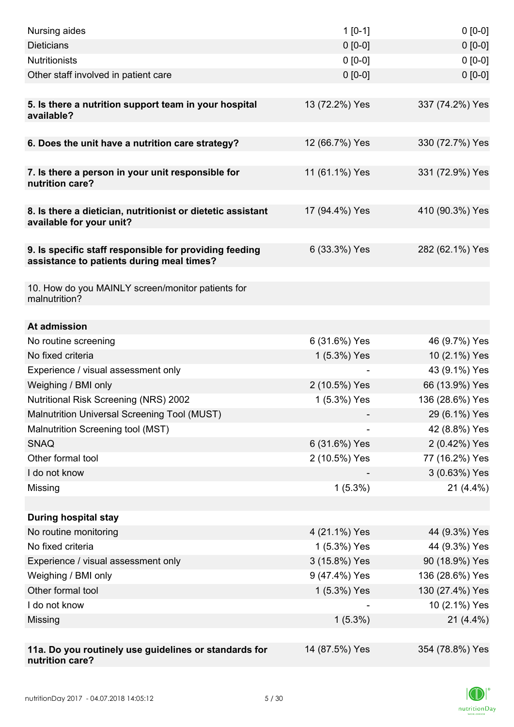| Nursing aides                                                                                       | $1[0-1]$       | $0[0-0]$        |
|-----------------------------------------------------------------------------------------------------|----------------|-----------------|
| <b>Dieticians</b>                                                                                   | $0 [0-0]$      | $0 [0-0]$       |
| <b>Nutritionists</b>                                                                                | $0 [0-0]$      | $0 [0-0]$       |
| Other staff involved in patient care                                                                | $0 [0-0]$      | $0 [0-0]$       |
|                                                                                                     |                |                 |
| 5. Is there a nutrition support team in your hospital<br>available?                                 | 13 (72.2%) Yes | 337 (74.2%) Yes |
| 6. Does the unit have a nutrition care strategy?                                                    | 12 (66.7%) Yes | 330 (72.7%) Yes |
|                                                                                                     |                |                 |
| 7. Is there a person in your unit responsible for<br>nutrition care?                                | 11 (61.1%) Yes | 331 (72.9%) Yes |
| 8. Is there a dietician, nutritionist or dietetic assistant<br>available for your unit?             | 17 (94.4%) Yes | 410 (90.3%) Yes |
| 9. Is specific staff responsible for providing feeding<br>assistance to patients during meal times? | 6 (33.3%) Yes  | 282 (62.1%) Yes |
| 10. How do you MAINLY screen/monitor patients for<br>malnutrition?                                  |                |                 |
| At admission                                                                                        |                |                 |
| No routine screening                                                                                | 6 (31.6%) Yes  | 46 (9.7%) Yes   |
| No fixed criteria                                                                                   | 1 (5.3%) Yes   | 10 (2.1%) Yes   |
| Experience / visual assessment only                                                                 |                | 43 (9.1%) Yes   |
| Weighing / BMI only                                                                                 | 2 (10.5%) Yes  | 66 (13.9%) Yes  |
| Nutritional Risk Screening (NRS) 2002                                                               | 1 (5.3%) Yes   | 136 (28.6%) Yes |
| Malnutrition Universal Screening Tool (MUST)                                                        |                | 29 (6.1%) Yes   |
| Malnutrition Screening tool (MST)                                                                   |                | 42 (8.8%) Yes   |
| <b>SNAQ</b>                                                                                         | 6 (31.6%) Yes  | 2 (0.42%) Yes   |
| Other formal tool                                                                                   | 2 (10.5%) Yes  | 77 (16.2%) Yes  |
| I do not know                                                                                       |                | 3 (0.63%) Yes   |
| Missing                                                                                             | $1(5.3\%)$     | $21(4.4\%)$     |
|                                                                                                     |                |                 |
| <b>During hospital stay</b>                                                                         |                |                 |
| No routine monitoring                                                                               | 4 (21.1%) Yes  | 44 (9.3%) Yes   |
| No fixed criteria                                                                                   | 1 (5.3%) Yes   | 44 (9.3%) Yes   |
| Experience / visual assessment only                                                                 | 3 (15.8%) Yes  | 90 (18.9%) Yes  |
| Weighing / BMI only                                                                                 | 9 (47.4%) Yes  | 136 (28.6%) Yes |
| Other formal tool                                                                                   | 1 (5.3%) Yes   | 130 (27.4%) Yes |
| I do not know                                                                                       |                | 10 (2.1%) Yes   |
| Missing                                                                                             | $1(5.3\%)$     | $21(4.4\%)$     |
|                                                                                                     |                |                 |
| 11a. Do you routinely use guidelines or standards for<br>nutrition care?                            | 14 (87.5%) Yes | 354 (78.8%) Yes |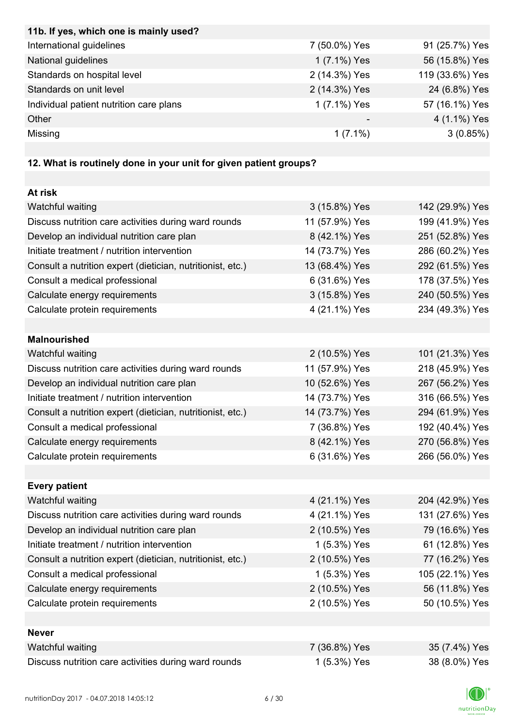| 11b. If yes, which one is mainly used?                            |                |                 |
|-------------------------------------------------------------------|----------------|-----------------|
| International guidelines                                          | 7 (50.0%) Yes  | 91 (25.7%) Yes  |
| National guidelines                                               | 1 (7.1%) Yes   | 56 (15.8%) Yes  |
| Standards on hospital level                                       | 2 (14.3%) Yes  | 119 (33.6%) Yes |
| Standards on unit level                                           | 2 (14.3%) Yes  | 24 (6.8%) Yes   |
| Individual patient nutrition care plans                           | 1 (7.1%) Yes   | 57 (16.1%) Yes  |
| Other                                                             |                | 4 (1.1%) Yes    |
| Missing                                                           | $1(7.1\%)$     | 3(0.85%)        |
|                                                                   |                |                 |
| 12. What is routinely done in your unit for given patient groups? |                |                 |
|                                                                   |                |                 |
| At risk                                                           |                |                 |
| Watchful waiting                                                  | 3 (15.8%) Yes  | 142 (29.9%) Yes |
| Discuss nutrition care activities during ward rounds              | 11 (57.9%) Yes | 199 (41.9%) Yes |
| Develop an individual nutrition care plan                         | 8 (42.1%) Yes  | 251 (52.8%) Yes |
| Initiate treatment / nutrition intervention                       | 14 (73.7%) Yes | 286 (60.2%) Yes |
| Consult a nutrition expert (dietician, nutritionist, etc.)        | 13 (68.4%) Yes | 292 (61.5%) Yes |
| Consult a medical professional                                    | 6 (31.6%) Yes  | 178 (37.5%) Yes |
| Calculate energy requirements                                     | 3 (15.8%) Yes  | 240 (50.5%) Yes |
| Calculate protein requirements                                    | 4 (21.1%) Yes  | 234 (49.3%) Yes |
|                                                                   |                |                 |
| <b>Malnourished</b>                                               |                |                 |
| Watchful waiting                                                  | 2 (10.5%) Yes  | 101 (21.3%) Yes |
| Discuss nutrition care activities during ward rounds              | 11 (57.9%) Yes | 218 (45.9%) Yes |
| Develop an individual nutrition care plan                         | 10 (52.6%) Yes | 267 (56.2%) Yes |
| Initiate treatment / nutrition intervention                       | 14 (73.7%) Yes | 316 (66.5%) Yes |
| Consult a nutrition expert (dietician, nutritionist, etc.)        | 14 (73.7%) Yes | 294 (61.9%) Yes |
| Consult a medical professional                                    | 7 (36.8%) Yes  | 192 (40.4%) Yes |
| Calculate energy requirements                                     | 8 (42.1%) Yes  | 270 (56.8%) Yes |
| Calculate protein requirements                                    | 6 (31.6%) Yes  | 266 (56.0%) Yes |
|                                                                   |                |                 |
| <b>Every patient</b>                                              |                |                 |
| Watchful waiting                                                  | 4 (21.1%) Yes  | 204 (42.9%) Yes |
| Discuss nutrition care activities during ward rounds              | 4 (21.1%) Yes  | 131 (27.6%) Yes |
| Develop an individual nutrition care plan                         | 2 (10.5%) Yes  | 79 (16.6%) Yes  |
| Initiate treatment / nutrition intervention                       | 1 (5.3%) Yes   | 61 (12.8%) Yes  |
| Consult a nutrition expert (dietician, nutritionist, etc.)        | 2 (10.5%) Yes  | 77 (16.2%) Yes  |
| Consult a medical professional                                    | 1 (5.3%) Yes   | 105 (22.1%) Yes |
| Calculate energy requirements                                     | 2 (10.5%) Yes  | 56 (11.8%) Yes  |
| Calculate protein requirements                                    | 2 (10.5%) Yes  | 50 (10.5%) Yes  |
|                                                                   |                |                 |
| <b>Never</b>                                                      |                |                 |
| Watchful waiting                                                  | 7 (36.8%) Yes  | 35 (7.4%) Yes   |
| Discuss nutrition care activities during ward rounds              | 1 (5.3%) Yes   | 38 (8.0%) Yes   |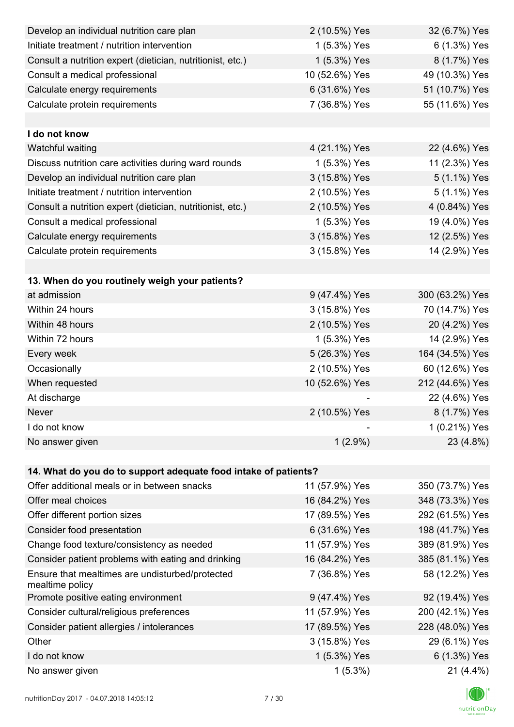| Develop an individual nutrition care plan                          | 2 (10.5%) Yes  | 32 (6.7%) Yes   |
|--------------------------------------------------------------------|----------------|-----------------|
| Initiate treatment / nutrition intervention                        | 1 (5.3%) Yes   | 6 (1.3%) Yes    |
| Consult a nutrition expert (dietician, nutritionist, etc.)         | 1 (5.3%) Yes   | 8 (1.7%) Yes    |
| Consult a medical professional                                     | 10 (52.6%) Yes | 49 (10.3%) Yes  |
| Calculate energy requirements                                      | 6 (31.6%) Yes  | 51 (10.7%) Yes  |
| Calculate protein requirements                                     | 7 (36.8%) Yes  | 55 (11.6%) Yes  |
|                                                                    |                |                 |
| I do not know                                                      |                |                 |
| Watchful waiting                                                   | 4 (21.1%) Yes  | 22 (4.6%) Yes   |
| Discuss nutrition care activities during ward rounds               | 1 (5.3%) Yes   | 11 (2.3%) Yes   |
| Develop an individual nutrition care plan                          | 3 (15.8%) Yes  | 5 (1.1%) Yes    |
| Initiate treatment / nutrition intervention                        | 2 (10.5%) Yes  | 5 (1.1%) Yes    |
| Consult a nutrition expert (dietician, nutritionist, etc.)         | 2 (10.5%) Yes  | 4 (0.84%) Yes   |
| Consult a medical professional                                     | 1 (5.3%) Yes   | 19 (4.0%) Yes   |
| Calculate energy requirements                                      | 3 (15.8%) Yes  | 12 (2.5%) Yes   |
| Calculate protein requirements                                     | 3 (15.8%) Yes  | 14 (2.9%) Yes   |
|                                                                    |                |                 |
| 13. When do you routinely weigh your patients?                     |                |                 |
| at admission                                                       | 9 (47.4%) Yes  | 300 (63.2%) Yes |
| Within 24 hours                                                    | 3 (15.8%) Yes  | 70 (14.7%) Yes  |
| Within 48 hours                                                    | 2 (10.5%) Yes  | 20 (4.2%) Yes   |
| Within 72 hours                                                    | 1 (5.3%) Yes   | 14 (2.9%) Yes   |
| Every week                                                         | 5 (26.3%) Yes  | 164 (34.5%) Yes |
| Occasionally                                                       | 2 (10.5%) Yes  | 60 (12.6%) Yes  |
| When requested                                                     | 10 (52.6%) Yes | 212 (44.6%) Yes |
| At discharge                                                       |                | 22 (4.6%) Yes   |
| Never                                                              | 2 (10.5%) Yes  | 8 (1.7%) Yes    |
| I do not know                                                      |                | 1 (0.21%) Yes   |
| No answer given                                                    | $1(2.9\%)$     | 23 (4.8%)       |
|                                                                    |                |                 |
| 14. What do you do to support adequate food intake of patients?    |                |                 |
| Offer additional meals or in between snacks                        | 11 (57.9%) Yes | 350 (73.7%) Yes |
| Offer meal choices                                                 | 16 (84.2%) Yes | 348 (73.3%) Yes |
| Offer different portion sizes                                      | 17 (89.5%) Yes | 292 (61.5%) Yes |
| Consider food presentation                                         | 6 (31.6%) Yes  | 198 (41.7%) Yes |
| Change food texture/consistency as needed                          | 11 (57.9%) Yes | 389 (81.9%) Yes |
| Consider patient problems with eating and drinking                 | 16 (84.2%) Yes | 385 (81.1%) Yes |
| Ensure that mealtimes are undisturbed/protected<br>mealtime policy | 7 (36.8%) Yes  | 58 (12.2%) Yes  |
| Promote positive eating environment                                | 9 (47.4%) Yes  | 92 (19.4%) Yes  |
| Consider cultural/religious preferences                            | 11 (57.9%) Yes | 200 (42.1%) Yes |
| Consider patient allergies / intolerances                          | 17 (89.5%) Yes | 228 (48.0%) Yes |
| Other                                                              | 3 (15.8%) Yes  | 29 (6.1%) Yes   |
| I do not know                                                      | 1 (5.3%) Yes   | 6 (1.3%) Yes    |
| No answer given                                                    | $1(5.3\%)$     | 21 (4.4%)       |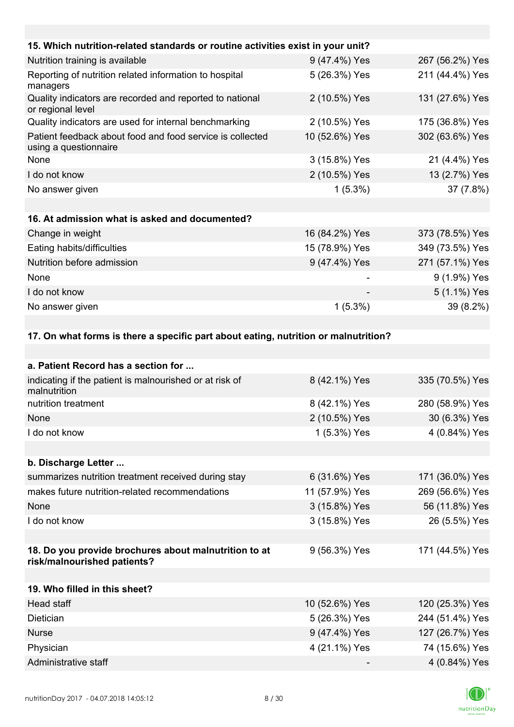| 15. Which nutrition-related standards or routine activities exist in your unit?    |                |                 |
|------------------------------------------------------------------------------------|----------------|-----------------|
| Nutrition training is available                                                    | 9 (47.4%) Yes  | 267 (56.2%) Yes |
| Reporting of nutrition related information to hospital<br>managers                 | 5 (26.3%) Yes  | 211 (44.4%) Yes |
| Quality indicators are recorded and reported to national<br>or regional level      | 2 (10.5%) Yes  | 131 (27.6%) Yes |
| Quality indicators are used for internal benchmarking                              | 2 (10.5%) Yes  | 175 (36.8%) Yes |
| Patient feedback about food and food service is collected<br>using a questionnaire | 10 (52.6%) Yes | 302 (63.6%) Yes |
| <b>None</b>                                                                        | 3 (15.8%) Yes  | 21 (4.4%) Yes   |
| I do not know                                                                      | 2 (10.5%) Yes  | 13 (2.7%) Yes   |
| No answer given                                                                    | $1(5.3\%)$     | 37 (7.8%)       |
|                                                                                    |                |                 |
| 16. At admission what is asked and documented?                                     |                |                 |
| Change in weight                                                                   | 16 (84.2%) Yes | 373 (78.5%) Yes |
| Eating habits/difficulties                                                         | 15 (78.9%) Yes | 349 (73.5%) Yes |
| Nutrition before admission                                                         | 9 (47.4%) Yes  | 271 (57.1%) Yes |
| None                                                                               |                | 9 (1.9%) Yes    |
| I do not know                                                                      |                | 5 (1.1%) Yes    |
| No answer given                                                                    | $1(5.3\%)$     | 39 (8.2%)       |
|                                                                                    |                |                 |

#### **17. On what forms is there a specific part about eating, nutrition or malnutrition?**

| 8 (42.1%) Yes  | 335 (70.5%) Yes |
|----------------|-----------------|
| 8 (42.1%) Yes  | 280 (58.9%) Yes |
| 2 (10.5%) Yes  | 30 (6.3%) Yes   |
| 1 (5.3%) Yes   | 4 (0.84%) Yes   |
|                |                 |
|                |                 |
| 6 (31.6%) Yes  | 171 (36.0%) Yes |
| 11 (57.9%) Yes | 269 (56.6%) Yes |
| 3 (15.8%) Yes  | 56 (11.8%) Yes  |
| 3 (15.8%) Yes  | 26 (5.5%) Yes   |
|                |                 |
| 9 (56.3%) Yes  | 171 (44.5%) Yes |
|                |                 |
|                |                 |
| 10 (52.6%) Yes | 120 (25.3%) Yes |
| 5 (26.3%) Yes  | 244 (51.4%) Yes |
| 9 (47.4%) Yes  | 127 (26.7%) Yes |
| 4 (21.1%) Yes  | 74 (15.6%) Yes  |
|                | 4 (0.84%) Yes   |
|                |                 |

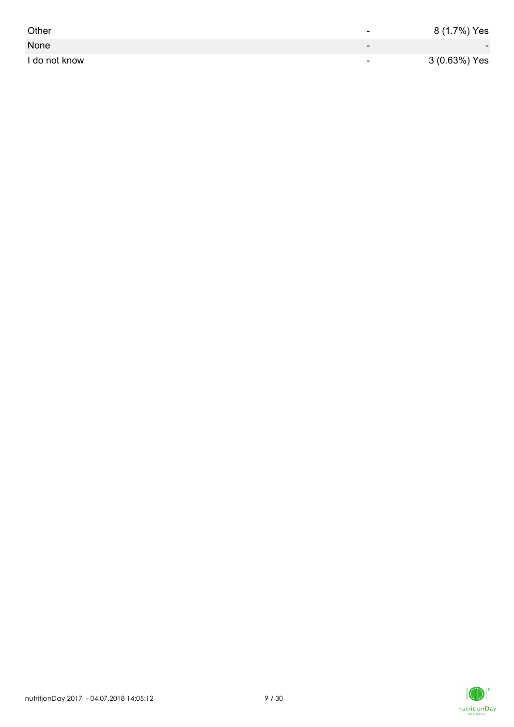| Other         | -                        | 8 (1.7%) Yes             |
|---------------|--------------------------|--------------------------|
| None          | $\overline{\phantom{0}}$ | $\overline{\phantom{0}}$ |
| I do not know | $\overline{\phantom{0}}$ | 3 (0.63%) Yes            |

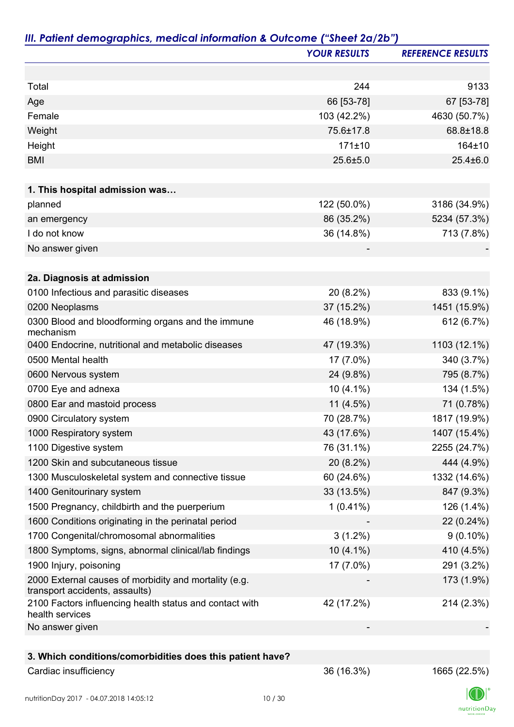|                                                                                         | <b>YOUR RESULTS</b> | <b>REFERENCE RESULTS</b> |
|-----------------------------------------------------------------------------------------|---------------------|--------------------------|
|                                                                                         |                     |                          |
| Total                                                                                   | 244                 | 9133                     |
| Age                                                                                     | 66 [53-78]          | 67 [53-78]               |
| Female                                                                                  | 103 (42.2%)         | 4630 (50.7%)             |
| Weight                                                                                  | 75.6±17.8           | 68.8±18.8                |
| Height                                                                                  | 171±10              | 164±10                   |
| <b>BMI</b>                                                                              | 25.6±5.0            | $25.4 \pm 6.0$           |
| 1. This hospital admission was                                                          |                     |                          |
| planned                                                                                 | 122 (50.0%)         | 3186 (34.9%)             |
| an emergency                                                                            | 86 (35.2%)          | 5234 (57.3%)             |
| I do not know                                                                           | 36 (14.8%)          | 713 (7.8%)               |
| No answer given                                                                         |                     |                          |
|                                                                                         |                     |                          |
| 2a. Diagnosis at admission                                                              |                     |                          |
| 0100 Infectious and parasitic diseases                                                  | 20 (8.2%)           | 833 (9.1%)               |
| 0200 Neoplasms                                                                          | 37 (15.2%)          | 1451 (15.9%)             |
| 0300 Blood and bloodforming organs and the immune<br>mechanism                          | 46 (18.9%)          | 612 (6.7%)               |
| 0400 Endocrine, nutritional and metabolic diseases                                      | 47 (19.3%)          | 1103 (12.1%)             |
| 0500 Mental health                                                                      | 17 (7.0%)           | 340 (3.7%)               |
| 0600 Nervous system                                                                     | 24 (9.8%)           | 795 (8.7%)               |
| 0700 Eye and adnexa                                                                     | $10(4.1\%)$         | 134 (1.5%)               |
| 0800 Ear and mastoid process                                                            | 11 (4.5%)           | 71 (0.78%)               |
| 0900 Circulatory system                                                                 | 70 (28.7%)          | 1817 (19.9%)             |
| 1000 Respiratory system                                                                 | 43 (17.6%)          | 1407 (15.4%)             |
| 1100 Digestive system                                                                   | 76 (31.1%)          | 2255 (24.7%)             |
| 1200 Skin and subcutaneous tissue                                                       | 20 (8.2%)           | 444 (4.9%)               |
| 1300 Musculoskeletal system and connective tissue                                       | 60 (24.6%)          | 1332 (14.6%)             |
| 1400 Genitourinary system                                                               | 33 (13.5%)          | 847 (9.3%)               |
| 1500 Pregnancy, childbirth and the puerperium                                           | $1(0.41\%)$         | 126 (1.4%)               |
| 1600 Conditions originating in the perinatal period                                     |                     | 22 (0.24%)               |
| 1700 Congenital/chromosomal abnormalities                                               | $3(1.2\%)$          | $9(0.10\%)$              |
| 1800 Symptoms, signs, abnormal clinical/lab findings                                    | $10(4.1\%)$         | 410 (4.5%)               |
| 1900 Injury, poisoning                                                                  | 17 (7.0%)           | 291 (3.2%)               |
| 2000 External causes of morbidity and mortality (e.g.<br>transport accidents, assaults) |                     | 173 (1.9%)               |
| 2100 Factors influencing health status and contact with<br>health services              | 42 (17.2%)          | 214 (2.3%)               |
| No answer given                                                                         |                     |                          |
|                                                                                         |                     |                          |
| 3. Which conditions/comorbidities does this patient have?                               |                     |                          |
| Cardiac insufficiency                                                                   | 36 (16.3%)          | 1665 (22.5%)             |

 $\label{eq:2} \mathsf{nutritionDay}$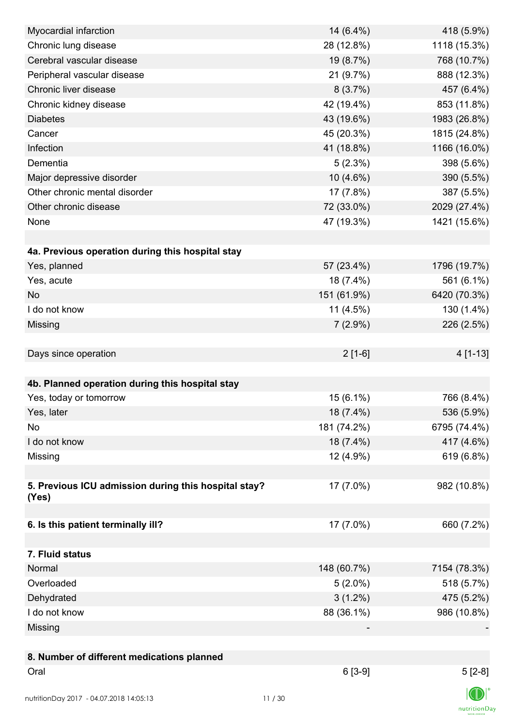| Myocardial infarction                                | 14 (6.4%)   | 418 (5.9%)   |
|------------------------------------------------------|-------------|--------------|
| Chronic lung disease                                 | 28 (12.8%)  | 1118 (15.3%) |
| Cerebral vascular disease                            | 19 (8.7%)   | 768 (10.7%)  |
| Peripheral vascular disease                          | 21 (9.7%)   | 888 (12.3%)  |
| Chronic liver disease                                | 8(3.7%)     | 457 (6.4%)   |
| Chronic kidney disease                               | 42 (19.4%)  | 853 (11.8%)  |
| <b>Diabetes</b>                                      | 43 (19.6%)  | 1983 (26.8%) |
| Cancer                                               | 45 (20.3%)  | 1815 (24.8%) |
| Infection                                            | 41 (18.8%)  | 1166 (16.0%) |
| Dementia                                             | 5(2.3%)     | 398 (5.6%)   |
| Major depressive disorder                            | 10 (4.6%)   | 390 (5.5%)   |
| Other chronic mental disorder                        | 17 (7.8%)   | 387 (5.5%)   |
| Other chronic disease                                | 72 (33.0%)  | 2029 (27.4%) |
| None                                                 | 47 (19.3%)  | 1421 (15.6%) |
|                                                      |             |              |
| 4a. Previous operation during this hospital stay     |             |              |
| Yes, planned                                         | 57 (23.4%)  | 1796 (19.7%) |
| Yes, acute                                           | 18 (7.4%)   | 561 (6.1%)   |
| <b>No</b>                                            | 151 (61.9%) | 6420 (70.3%) |
| I do not know                                        | $11(4.5\%)$ | 130 (1.4%)   |
| Missing                                              | $7(2.9\%)$  | 226 (2.5%)   |
|                                                      |             |              |
| Days since operation                                 | $2[1-6]$    | 4 [1-13]     |
|                                                      |             |              |
| 4b. Planned operation during this hospital stay      |             |              |
| Yes, today or tomorrow                               | 15 (6.1%)   | 766 (8.4%)   |
| Yes, later                                           | 18 (7.4%)   | 536 (5.9%)   |
| No                                                   | 181 (74.2%) | 6795 (74.4%) |
| I do not know                                        | 18 (7.4%)   | 417 (4.6%)   |
| Missing                                              | 12 (4.9%)   | 619 (6.8%)   |
|                                                      |             |              |
| 5. Previous ICU admission during this hospital stay? | 17 (7.0%)   | 982 (10.8%)  |
| (Yes)                                                |             |              |
|                                                      |             |              |
| 6. Is this patient terminally ill?                   | 17 (7.0%)   | 660 (7.2%)   |
|                                                      |             |              |
| 7. Fluid status                                      |             |              |
| Normal                                               | 148 (60.7%) | 7154 (78.3%) |
| Overloaded                                           | $5(2.0\%)$  | 518 (5.7%)   |
| Dehydrated                                           | $3(1.2\%)$  | 475 (5.2%)   |
| I do not know                                        | 88 (36.1%)  | 986 (10.8%)  |
| Missing                                              |             |              |
|                                                      |             |              |
| 8. Number of different medications planned           |             |              |
| Oral                                                 | $6[3-9]$    | $5[2-8]$     |
|                                                      |             |              |
| nutritionDay 2017 - 04.07.2018 14:05:13              | 11/30       |              |

 $\textsf{nutritionDay}$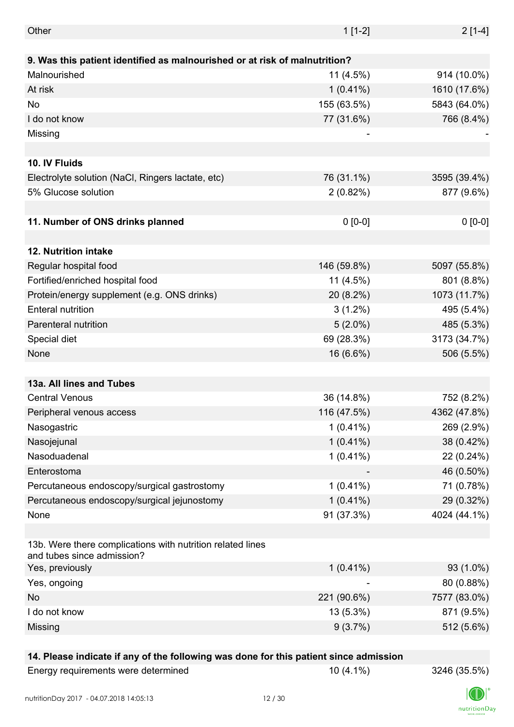| Other                                                                                    | $1[1-2]$    | $2[1-4]$     |
|------------------------------------------------------------------------------------------|-------------|--------------|
|                                                                                          |             |              |
| 9. Was this patient identified as malnourished or at risk of malnutrition?               |             |              |
| Malnourished                                                                             | $11(4.5\%)$ | 914 (10.0%)  |
| At risk                                                                                  | $1(0.41\%)$ | 1610 (17.6%) |
| No                                                                                       | 155 (63.5%) | 5843 (64.0%) |
| I do not know                                                                            | 77 (31.6%)  | 766 (8.4%)   |
| Missing                                                                                  |             |              |
|                                                                                          |             |              |
| 10. IV Fluids                                                                            |             |              |
| Electrolyte solution (NaCl, Ringers lactate, etc)                                        | 76 (31.1%)  | 3595 (39.4%) |
| 5% Glucose solution                                                                      | $2(0.82\%)$ | 877 (9.6%)   |
|                                                                                          |             |              |
| 11. Number of ONS drinks planned                                                         | $0 [0-0]$   | $0 [0-0]$    |
|                                                                                          |             |              |
| <b>12. Nutrition intake</b>                                                              |             |              |
| Regular hospital food                                                                    | 146 (59.8%) | 5097 (55.8%) |
| Fortified/enriched hospital food                                                         | 11 (4.5%)   | 801 (8.8%)   |
| Protein/energy supplement (e.g. ONS drinks)                                              | 20 (8.2%)   | 1073 (11.7%) |
| <b>Enteral nutrition</b>                                                                 | $3(1.2\%)$  | 495 (5.4%)   |
| Parenteral nutrition                                                                     | $5(2.0\%)$  | 485 (5.3%)   |
| Special diet                                                                             | 69 (28.3%)  | 3173 (34.7%) |
| None                                                                                     | 16 (6.6%)   | 506 (5.5%)   |
|                                                                                          |             |              |
| 13a. All lines and Tubes                                                                 |             |              |
| <b>Central Venous</b>                                                                    | 36 (14.8%)  | 752 (8.2%)   |
| Peripheral venous access                                                                 | 116 (47.5%) | 4362 (47.8%) |
| Nasogastric                                                                              | $1(0.41\%)$ | 269 (2.9%)   |
| Nasojejunal                                                                              | $1(0.41\%)$ | 38 (0.42%)   |
| Nasoduadenal                                                                             | $1(0.41\%)$ | 22 (0.24%)   |
| Enterostoma                                                                              |             |              |
|                                                                                          |             | 46 (0.50%)   |
| Percutaneous endoscopy/surgical gastrostomy                                              | $1(0.41\%)$ | 71 (0.78%)   |
| Percutaneous endoscopy/surgical jejunostomy                                              | $1(0.41\%)$ | 29 (0.32%)   |
| None                                                                                     | 91 (37.3%)  | 4024 (44.1%) |
|                                                                                          |             |              |
| 13b. Were there complications with nutrition related lines<br>and tubes since admission? |             |              |
| Yes, previously                                                                          | $1(0.41\%)$ | 93 (1.0%)    |
| Yes, ongoing                                                                             |             | 80 (0.88%)   |
| No                                                                                       | 221 (90.6%) | 7577 (83.0%) |
| I do not know                                                                            | 13 (5.3%)   | 871 (9.5%)   |
| Missing                                                                                  | 9(3.7%)     | 512 (5.6%)   |
|                                                                                          |             |              |

## **14. Please indicate if any of the following was done for this patient since admission**

Energy requirements were determined 10 (4.1%) 3246 (35.5%)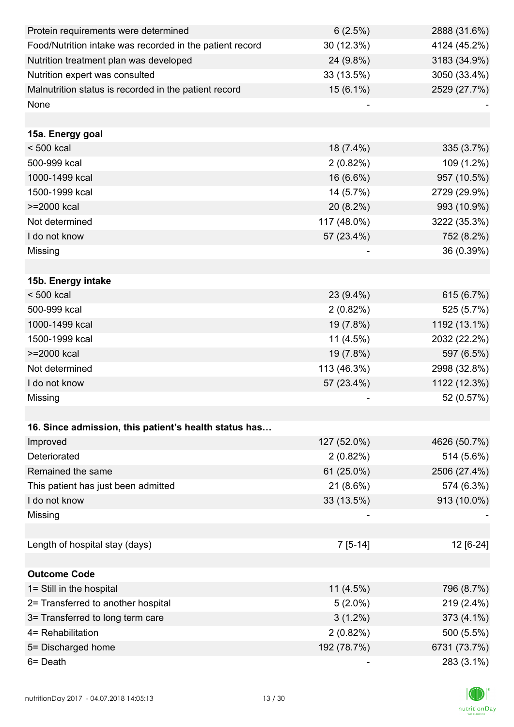| Protein requirements were determined                     | 6(2.5%)     | 2888 (31.6%) |
|----------------------------------------------------------|-------------|--------------|
| Food/Nutrition intake was recorded in the patient record | 30 (12.3%)  | 4124 (45.2%) |
| Nutrition treatment plan was developed                   | 24 (9.8%)   | 3183 (34.9%) |
| Nutrition expert was consulted                           | 33 (13.5%)  | 3050 (33.4%) |
| Malnutrition status is recorded in the patient record    | 15 (6.1%)   | 2529 (27.7%) |
| None                                                     |             |              |
|                                                          |             |              |
| 15a. Energy goal                                         |             |              |
| $< 500$ kcal                                             | 18 (7.4%)   | 335 (3.7%)   |
| 500-999 kcal                                             | 2(0.82%)    | 109 (1.2%)   |
| 1000-1499 kcal                                           | 16 (6.6%)   | 957 (10.5%)  |
| 1500-1999 kcal                                           | 14 (5.7%)   | 2729 (29.9%) |
| >=2000 kcal                                              | 20 (8.2%)   | 993 (10.9%)  |
| Not determined                                           | 117 (48.0%) | 3222 (35.3%) |
| I do not know                                            | 57 (23.4%)  | 752 (8.2%)   |
| Missing                                                  |             | 36 (0.39%)   |
|                                                          |             |              |
| 15b. Energy intake                                       |             |              |
| $< 500$ kcal                                             | 23 (9.4%)   | 615 (6.7%)   |
| 500-999 kcal                                             | $2(0.82\%)$ | 525 (5.7%)   |
| 1000-1499 kcal                                           | 19 (7.8%)   | 1192 (13.1%) |
| 1500-1999 kcal                                           | $11(4.5\%)$ | 2032 (22.2%) |
| >=2000 kcal                                              | 19 (7.8%)   | 597 (6.5%)   |
| Not determined                                           | 113 (46.3%) | 2998 (32.8%) |
| I do not know                                            | 57 (23.4%)  | 1122 (12.3%) |
| Missing                                                  |             | 52 (0.57%)   |
|                                                          |             |              |
| 16. Since admission, this patient's health status has    |             |              |
| Improved                                                 | 127 (52.0%) | 4626 (50.7%) |
| Deteriorated                                             | 2(0.82%)    | 514 (5.6%)   |
| Remained the same                                        | 61 (25.0%)  | 2506 (27.4%) |
| This patient has just been admitted                      | 21 (8.6%)   | 574 (6.3%)   |
| I do not know                                            | 33 (13.5%)  | 913 (10.0%)  |
| Missing                                                  |             |              |
|                                                          |             |              |
| Length of hospital stay (days)                           | $7[5-14]$   | 12 [6-24]    |
|                                                          |             |              |
| <b>Outcome Code</b>                                      |             |              |
| 1= Still in the hospital                                 | $11(4.5\%)$ | 796 (8.7%)   |
| 2= Transferred to another hospital                       | $5(2.0\%)$  | 219 (2.4%)   |
| 3= Transferred to long term care                         | $3(1.2\%)$  | 373 (4.1%)   |
| 4= Rehabilitation                                        | 2(0.82%)    | 500 (5.5%)   |
| 5= Discharged home                                       | 192 (78.7%) | 6731 (73.7%) |
| 6= Death                                                 |             | 283 (3.1%)   |

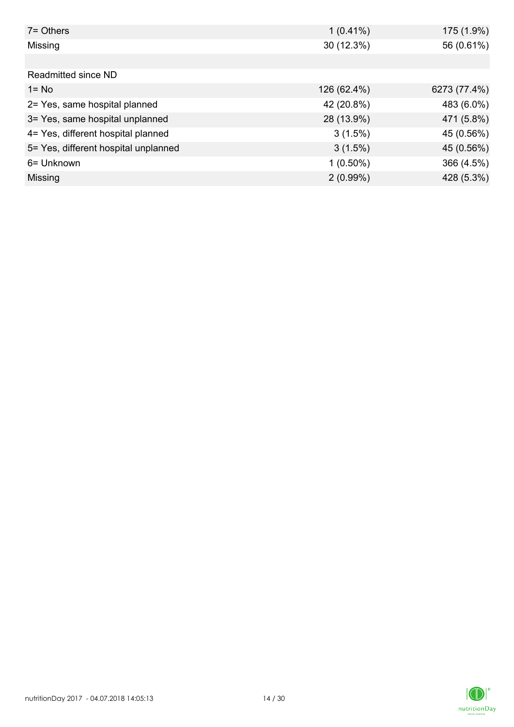| 7= Others                            | $1(0.41\%)$ | 175 (1.9%)   |
|--------------------------------------|-------------|--------------|
| Missing                              | 30 (12.3%)  | 56 (0.61%)   |
|                                      |             |              |
| Readmitted since ND                  |             |              |
| $1 = No$                             | 126 (62.4%) | 6273 (77.4%) |
| 2= Yes, same hospital planned        | 42 (20.8%)  | 483 (6.0%)   |
| 3= Yes, same hospital unplanned      | 28 (13.9%)  | 471 (5.8%)   |
| 4= Yes, different hospital planned   | 3(1.5%)     | 45 (0.56%)   |
| 5= Yes, different hospital unplanned | $3(1.5\%)$  | 45 (0.56%)   |
| 6= Unknown                           | $1(0.50\%)$ | 366 (4.5%)   |
| Missing                              | $2(0.99\%)$ | 428 (5.3%)   |

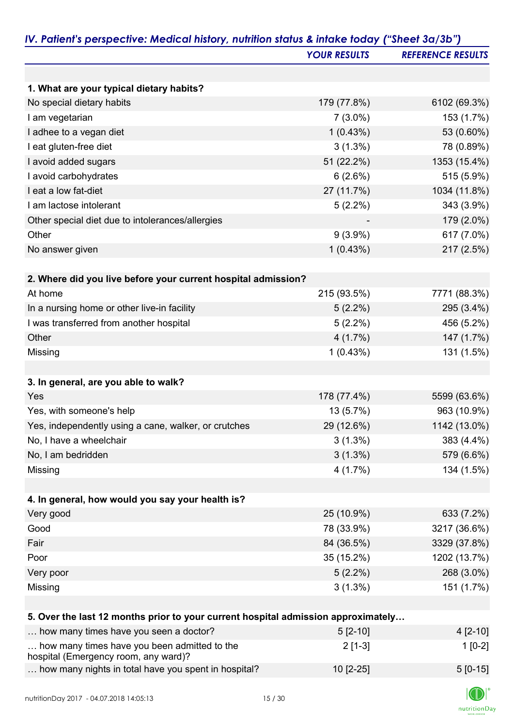|                                                                                   | <b>YOUR RESULTS</b> | <b>REFERENCE RESULTS</b> |
|-----------------------------------------------------------------------------------|---------------------|--------------------------|
|                                                                                   |                     |                          |
| 1. What are your typical dietary habits?                                          |                     |                          |
| No special dietary habits                                                         | 179 (77.8%)         | 6102 (69.3%)             |
| I am vegetarian                                                                   | $7(3.0\%)$          | 153 (1.7%)               |
| I adhee to a vegan diet                                                           | 1(0.43%)            | 53 (0.60%)               |
| I eat gluten-free diet                                                            | $3(1.3\%)$          | 78 (0.89%)               |
| I avoid added sugars                                                              | 51 (22.2%)          | 1353 (15.4%)             |
| I avoid carbohydrates                                                             | 6(2.6%)             | 515 (5.9%)               |
| I eat a low fat-diet                                                              | 27 (11.7%)          | 1034 (11.8%)             |
| I am lactose intolerant                                                           | $5(2.2\%)$          | 343 (3.9%)               |
| Other special diet due to intolerances/allergies                                  |                     | 179 (2.0%)               |
| Other                                                                             | $9(3.9\%)$          | 617 (7.0%)               |
| No answer given                                                                   | 1(0.43%)            | 217 (2.5%)               |
|                                                                                   |                     |                          |
| 2. Where did you live before your current hospital admission?                     |                     |                          |
| At home                                                                           | 215 (93.5%)         | 7771 (88.3%)             |
| In a nursing home or other live-in facility                                       | $5(2.2\%)$          | 295 (3.4%)               |
| I was transferred from another hospital                                           | $5(2.2\%)$          | 456 (5.2%)               |
| Other                                                                             | 4(1.7%)             | 147 (1.7%)               |
| Missing                                                                           | 1(0.43%)            | 131 (1.5%)               |
|                                                                                   |                     |                          |
| 3. In general, are you able to walk?                                              |                     |                          |
| Yes                                                                               | 178 (77.4%)         | 5599 (63.6%)             |
| Yes, with someone's help                                                          | 13 (5.7%)           | 963 (10.9%)              |
| Yes, independently using a cane, walker, or crutches                              | 29 (12.6%)          | 1142 (13.0%)             |
| No, I have a wheelchair                                                           | $3(1.3\%)$          | 383 (4.4%)               |
| No, I am bedridden                                                                | $3(1.3\%)$          | 579 (6.6%)               |
| Missing                                                                           | 4(1.7%)             | 134 (1.5%)               |
|                                                                                   |                     |                          |
| 4. In general, how would you say your health is?                                  |                     |                          |
| Very good                                                                         | 25 (10.9%)          | 633 (7.2%)               |
| Good                                                                              | 78 (33.9%)          | 3217 (36.6%)             |
| Fair                                                                              | 84 (36.5%)          | 3329 (37.8%)             |
| Poor                                                                              | 35 (15.2%)          | 1202 (13.7%)             |
| Very poor                                                                         | $5(2.2\%)$          | 268 (3.0%)               |
| Missing                                                                           | $3(1.3\%)$          | 151 (1.7%)               |
|                                                                                   |                     |                          |
| 5. Over the last 12 months prior to your current hospital admission approximately |                     |                          |
| how many times have you seen a doctor?                                            | $5[2-10]$           | $4[2-10]$                |
| how many times have you been admitted to the                                      | $2[1-3]$            | $1[0-2]$                 |
| hospital (Emergency room, any ward)?                                              |                     |                          |
| how many nights in total have you spent in hospital?                              | 10 [2-25]           | $5[0-15]$                |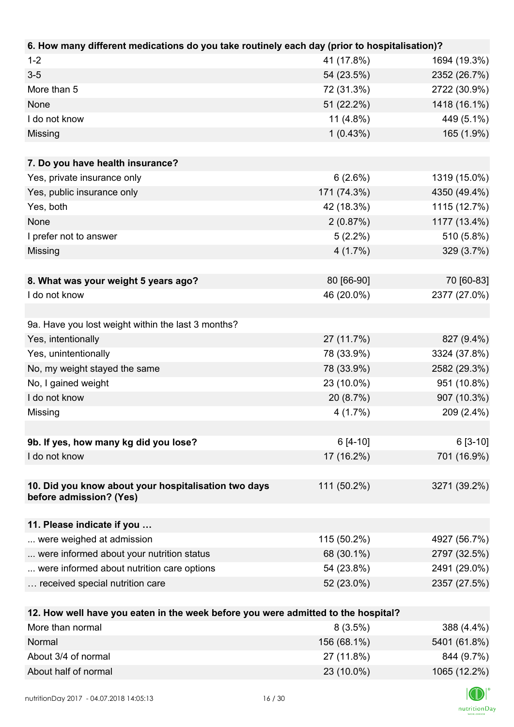| $1 - 2$<br>41 (17.8%)<br>1694 (19.3%)<br>$3-5$<br>54 (23.5%)<br>2352 (26.7%)<br>More than 5<br>72 (31.3%)<br>2722 (30.9%)<br>1418 (16.1%)<br>None<br>51 (22.2%)<br>449 (5.1%)<br>I do not know<br>11 $(4.8\%)$<br>1(0.43%)<br>165 (1.9%)<br>Missing<br>7. Do you have health insurance?<br>Yes, private insurance only<br>6(2.6%)<br>1319 (15.0%)<br>171 (74.3%)<br>4350 (49.4%)<br>Yes, public insurance only<br>Yes, both<br>1115 (12.7%)<br>42 (18.3%)<br><b>None</b><br>2(0.87%)<br>1177 (13.4%)<br>510 (5.8%)<br>I prefer not to answer<br>$5(2.2\%)$<br>$4(1.7\%)$<br>329 (3.7%)<br>Missing |
|---------------------------------------------------------------------------------------------------------------------------------------------------------------------------------------------------------------------------------------------------------------------------------------------------------------------------------------------------------------------------------------------------------------------------------------------------------------------------------------------------------------------------------------------------------------------------------------------------|
|                                                                                                                                                                                                                                                                                                                                                                                                                                                                                                                                                                                                   |
|                                                                                                                                                                                                                                                                                                                                                                                                                                                                                                                                                                                                   |
|                                                                                                                                                                                                                                                                                                                                                                                                                                                                                                                                                                                                   |
|                                                                                                                                                                                                                                                                                                                                                                                                                                                                                                                                                                                                   |
|                                                                                                                                                                                                                                                                                                                                                                                                                                                                                                                                                                                                   |
|                                                                                                                                                                                                                                                                                                                                                                                                                                                                                                                                                                                                   |
|                                                                                                                                                                                                                                                                                                                                                                                                                                                                                                                                                                                                   |
|                                                                                                                                                                                                                                                                                                                                                                                                                                                                                                                                                                                                   |
|                                                                                                                                                                                                                                                                                                                                                                                                                                                                                                                                                                                                   |
|                                                                                                                                                                                                                                                                                                                                                                                                                                                                                                                                                                                                   |
|                                                                                                                                                                                                                                                                                                                                                                                                                                                                                                                                                                                                   |
|                                                                                                                                                                                                                                                                                                                                                                                                                                                                                                                                                                                                   |
|                                                                                                                                                                                                                                                                                                                                                                                                                                                                                                                                                                                                   |
|                                                                                                                                                                                                                                                                                                                                                                                                                                                                                                                                                                                                   |
|                                                                                                                                                                                                                                                                                                                                                                                                                                                                                                                                                                                                   |
| 80 [66-90]<br>70 [60-83]<br>8. What was your weight 5 years ago?                                                                                                                                                                                                                                                                                                                                                                                                                                                                                                                                  |
| 2377 (27.0%)<br>I do not know<br>46 (20.0%)                                                                                                                                                                                                                                                                                                                                                                                                                                                                                                                                                       |
|                                                                                                                                                                                                                                                                                                                                                                                                                                                                                                                                                                                                   |
| 9a. Have you lost weight within the last 3 months?                                                                                                                                                                                                                                                                                                                                                                                                                                                                                                                                                |
| Yes, intentionally<br>27 (11.7%)<br>827 (9.4%)                                                                                                                                                                                                                                                                                                                                                                                                                                                                                                                                                    |
| Yes, unintentionally<br>78 (33.9%)<br>3324 (37.8%)                                                                                                                                                                                                                                                                                                                                                                                                                                                                                                                                                |
| No, my weight stayed the same<br>78 (33.9%)<br>2582 (29.3%)                                                                                                                                                                                                                                                                                                                                                                                                                                                                                                                                       |
| No, I gained weight<br>23 (10.0%)<br>951 (10.8%)                                                                                                                                                                                                                                                                                                                                                                                                                                                                                                                                                  |
| I do not know<br>907 (10.3%)<br>20 (8.7%)                                                                                                                                                                                                                                                                                                                                                                                                                                                                                                                                                         |
| 209 (2.4%)<br>Missing<br>4(1.7%)                                                                                                                                                                                                                                                                                                                                                                                                                                                                                                                                                                  |
|                                                                                                                                                                                                                                                                                                                                                                                                                                                                                                                                                                                                   |
| 9b. If yes, how many kg did you lose?<br>$6[4-10]$<br>$6[3-10]$                                                                                                                                                                                                                                                                                                                                                                                                                                                                                                                                   |
| I do not know<br>17 (16.2%)<br>701 (16.9%)                                                                                                                                                                                                                                                                                                                                                                                                                                                                                                                                                        |
|                                                                                                                                                                                                                                                                                                                                                                                                                                                                                                                                                                                                   |
| 10. Did you know about your hospitalisation two days<br>111 (50.2%)<br>3271 (39.2%)                                                                                                                                                                                                                                                                                                                                                                                                                                                                                                               |
| before admission? (Yes)                                                                                                                                                                                                                                                                                                                                                                                                                                                                                                                                                                           |
|                                                                                                                                                                                                                                                                                                                                                                                                                                                                                                                                                                                                   |
| 11. Please indicate if you<br>115 (50.2%)                                                                                                                                                                                                                                                                                                                                                                                                                                                                                                                                                         |
| 4927 (56.7%)<br>were weighed at admission<br>68 (30.1%)                                                                                                                                                                                                                                                                                                                                                                                                                                                                                                                                           |
| were informed about your nutrition status<br>2797 (32.5%)                                                                                                                                                                                                                                                                                                                                                                                                                                                                                                                                         |
| were informed about nutrition care options<br>54 (23.8%)<br>2491 (29.0%)                                                                                                                                                                                                                                                                                                                                                                                                                                                                                                                          |
| received special nutrition care<br>52 (23.0%)<br>2357 (27.5%)                                                                                                                                                                                                                                                                                                                                                                                                                                                                                                                                     |
| 12. How well have you eaten in the week before you were admitted to the hospital?                                                                                                                                                                                                                                                                                                                                                                                                                                                                                                                 |
| More than normal<br>8(3.5%)<br>388 (4.4%)                                                                                                                                                                                                                                                                                                                                                                                                                                                                                                                                                         |
| Normal<br>156 (68.1%)<br>5401 (61.8%)                                                                                                                                                                                                                                                                                                                                                                                                                                                                                                                                                             |

About 3/4 of normal 27 (11.8%) 844 (9.7%) About half of normal 23 (10.0%) 1065 (12.2%)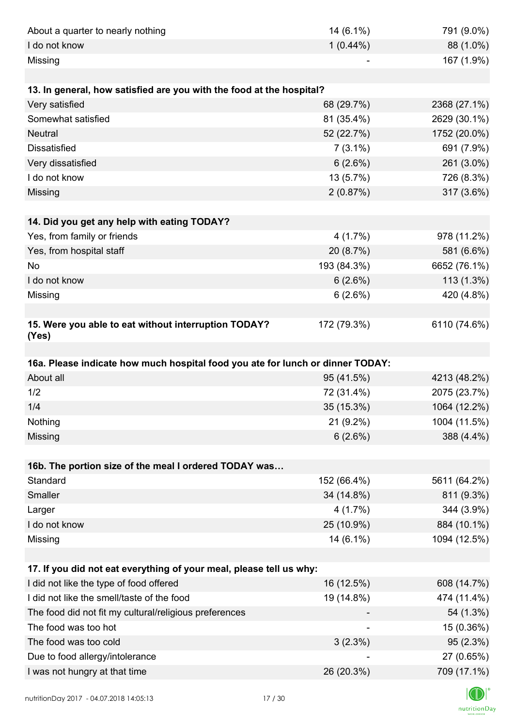| About a quarter to nearly nothing                                              | 14 (6.1%)   | 791 (9.0%)   |
|--------------------------------------------------------------------------------|-------------|--------------|
| I do not know                                                                  | $1(0.44\%)$ | 88 (1.0%)    |
| Missing                                                                        |             | 167 (1.9%)   |
|                                                                                |             |              |
| 13. In general, how satisfied are you with the food at the hospital?           |             |              |
| Very satisfied                                                                 | 68 (29.7%)  | 2368 (27.1%) |
| Somewhat satisfied                                                             | 81 (35.4%)  | 2629 (30.1%) |
| <b>Neutral</b>                                                                 | 52 (22.7%)  | 1752 (20.0%) |
| <b>Dissatisfied</b>                                                            | $7(3.1\%)$  | 691 (7.9%)   |
| Very dissatisfied                                                              | 6(2.6%)     | 261 (3.0%)   |
| I do not know                                                                  | 13 (5.7%)   | 726 (8.3%)   |
| Missing                                                                        | 2(0.87%)    | 317 (3.6%)   |
|                                                                                |             |              |
| 14. Did you get any help with eating TODAY?                                    |             |              |
| Yes, from family or friends                                                    | 4(1.7%)     | 978 (11.2%)  |
| Yes, from hospital staff                                                       | 20 (8.7%)   | 581 (6.6%)   |
| <b>No</b>                                                                      | 193 (84.3%) | 6652 (76.1%) |
| I do not know                                                                  | 6(2.6%)     | 113 (1.3%)   |
| Missing                                                                        | 6(2.6%)     | 420 (4.8%)   |
|                                                                                |             |              |
| 15. Were you able to eat without interruption TODAY?<br>(Yes)                  | 172 (79.3%) | 6110 (74.6%) |
|                                                                                |             |              |
| 16a. Please indicate how much hospital food you ate for lunch or dinner TODAY: |             |              |
| About all                                                                      | 95 (41.5%)  | 4213 (48.2%) |
| 1/2                                                                            | 72 (31.4%)  | 2075 (23.7%) |
| 1/4                                                                            | 35 (15.3%)  | 1064 (12.2%) |
| Nothing                                                                        | 21 (9.2%)   | 1004 (11.5%) |
| Missing                                                                        | 6(2.6%)     | 388 (4.4%)   |
|                                                                                |             |              |
| 16b. The portion size of the meal I ordered TODAY was                          |             |              |
| Standard                                                                       | 152 (66.4%) | 5611 (64.2%) |
| Smaller                                                                        | 34 (14.8%)  | 811 (9.3%)   |
| Larger                                                                         | 4(1.7%)     | 344 (3.9%)   |
| I do not know                                                                  | 25 (10.9%)  | 884 (10.1%)  |
| Missing                                                                        | 14 (6.1%)   | 1094 (12.5%) |
| 17. If you did not eat everything of your meal, please tell us why:            |             |              |
| I did not like the type of food offered                                        | 16 (12.5%)  | 608 (14.7%)  |
| I did not like the smell/taste of the food                                     | 19 (14.8%)  | 474 (11.4%)  |
| The food did not fit my cultural/religious preferences                         |             | 54 (1.3%)    |
| The food was too hot                                                           |             | 15 (0.36%)   |
| The food was too cold                                                          | 3(2.3%)     | 95 (2.3%)    |
| Due to food allergy/intolerance                                                |             | 27 (0.65%)   |
|                                                                                |             |              |
| I was not hungry at that time                                                  | 26 (20.3%)  | 709 (17.1%)  |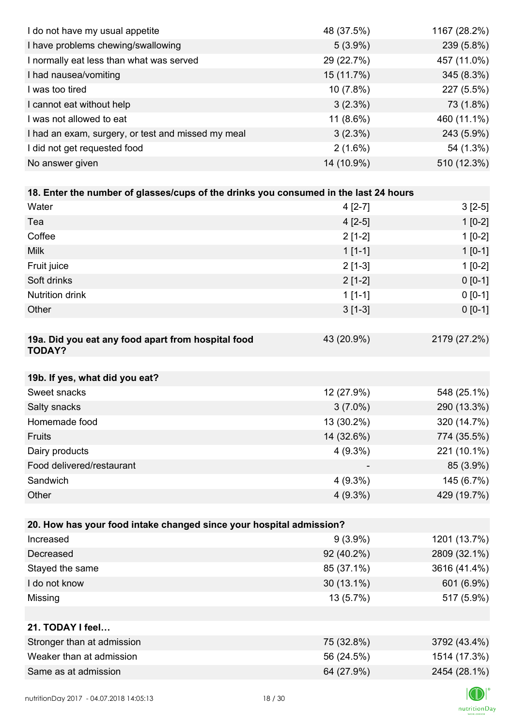| I do not have my usual appetite                                                      | 48 (37.5%) | 1167 (28.2%) |
|--------------------------------------------------------------------------------------|------------|--------------|
| I have problems chewing/swallowing                                                   | $5(3.9\%)$ | 239 (5.8%)   |
| I normally eat less than what was served                                             | 29 (22.7%) | 457 (11.0%)  |
| I had nausea/vomiting                                                                | 15 (11.7%) | 345 (8.3%)   |
| I was too tired                                                                      | 10(7.8%)   | 227 (5.5%)   |
| I cannot eat without help                                                            | 3(2.3%)    | 73 (1.8%)    |
| I was not allowed to eat                                                             | 11 (8.6%)  | 460 (11.1%)  |
| I had an exam, surgery, or test and missed my meal                                   | 3(2.3%)    | 243 (5.9%)   |
| I did not get requested food                                                         | $2(1.6\%)$ | 54 (1.3%)    |
| No answer given                                                                      | 14 (10.9%) | 510 (12.3%)  |
|                                                                                      |            |              |
| 18. Enter the number of glasses/cups of the drinks you consumed in the last 24 hours |            |              |
| Water                                                                                | $4[2-7]$   | $3[2-5]$     |
| Tea                                                                                  | $4[2-5]$   | $1[0-2]$     |
| Coffee                                                                               | $2[1-2]$   | $1[0-2]$     |
| <b>Milk</b>                                                                          | $1[1-1]$   | $1[0-1]$     |
| Fruit juice                                                                          | $2[1-3]$   | $1[0-2]$     |
| Soft drinks                                                                          | $2[1-2]$   | $0[0-1]$     |
| <b>Nutrition drink</b>                                                               | $1[1-1]$   | $0 [0-1]$    |
| Other                                                                                | $3[1-3]$   | $0 [0-1]$    |
|                                                                                      |            |              |
| 19a. Did you eat any food apart from hospital food<br><b>TODAY?</b>                  | 43 (20.9%) | 2179 (27.2%) |
| 19b. If yes, what did you eat?                                                       |            |              |
| Sweet snacks                                                                         | 12 (27.9%) | 548 (25.1%)  |
| Salty snacks                                                                         | $3(7.0\%)$ | 290 (13.3%)  |
| Homemade food                                                                        | 13 (30.2%) | 320 (14.7%)  |
| Fruits                                                                               | 14 (32.6%) | 774 (35.5%)  |
| Dairy products                                                                       | $4(9.3\%)$ | 221 (10.1%)  |
| Food delivered/restaurant                                                            |            | 85 (3.9%)    |
| Sandwich                                                                             | $4(9.3\%)$ | 145 (6.7%)   |
| Other                                                                                | $4(9.3\%)$ | 429 (19.7%)  |
|                                                                                      |            |              |
| 20. How has your food intake changed since your hospital admission?                  |            |              |
| Increased                                                                            | $9(3.9\%)$ | 1201 (13.7%) |
| Decreased                                                                            | 92 (40.2%) | 2809 (32.1%) |
| Stayed the same                                                                      | 85 (37.1%) | 3616 (41.4%) |
| I do not know                                                                        | 30 (13.1%) | 601 (6.9%)   |
| Missing                                                                              | 13 (5.7%)  | 517 (5.9%)   |
|                                                                                      |            |              |
| 21. TODAY I feel                                                                     |            |              |
| Stronger than at admission                                                           | 75 (32.8%) | 3792 (43.4%) |
| Weaker than at admission                                                             | 56 (24.5%) | 1514 (17.3%) |
| Same as at admission                                                                 | 64 (27.9%) | 2454 (28.1%) |
|                                                                                      |            |              |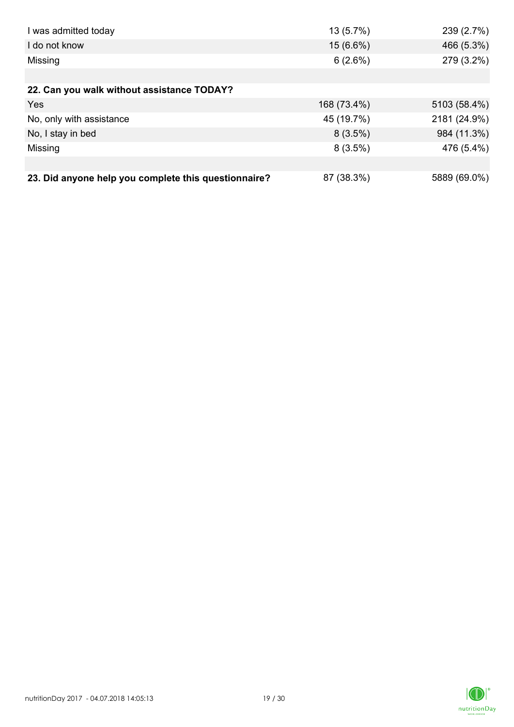| I was admitted today                                 | $13(5.7\%)$ | 239 (2.7%)   |
|------------------------------------------------------|-------------|--------------|
| I do not know                                        | $15(6.6\%)$ | 466 (5.3%)   |
| Missing                                              | 6(2.6%)     | 279 (3.2%)   |
|                                                      |             |              |
| 22. Can you walk without assistance TODAY?           |             |              |
| Yes                                                  | 168 (73.4%) | 5103 (58.4%) |
| No, only with assistance                             | 45 (19.7%)  | 2181 (24.9%) |
| No, I stay in bed                                    | $8(3.5\%)$  | 984 (11.3%)  |
| Missing                                              | $8(3.5\%)$  | 476 (5.4%)   |
|                                                      |             |              |
| 23. Did anyone help you complete this questionnaire? | 87 (38.3%)  | 5889 (69.0%) |

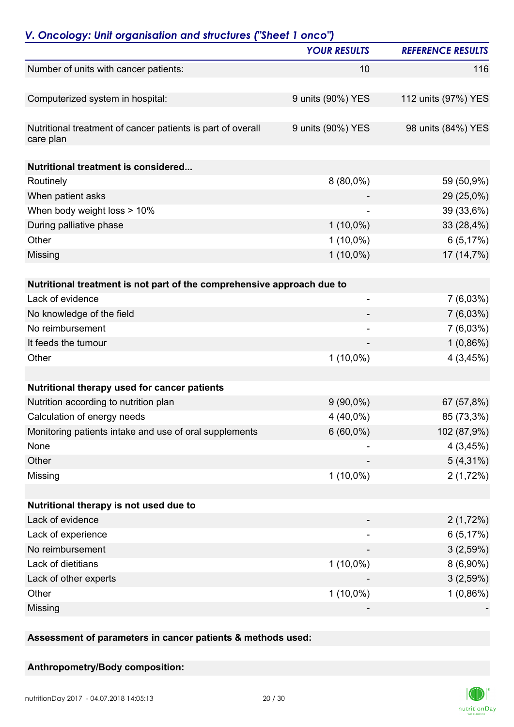|                                                                          | <b>YOUR RESULTS</b>      | <b>REFERENCE RESULTS</b> |
|--------------------------------------------------------------------------|--------------------------|--------------------------|
| Number of units with cancer patients:                                    | 10                       | 116                      |
| Computerized system in hospital:                                         | 9 units (90%) YES        | 112 units (97%) YES      |
| Nutritional treatment of cancer patients is part of overall<br>care plan | 9 units (90%) YES        | 98 units (84%) YES       |
| <b>Nutritional treatment is considered</b>                               |                          |                          |
| Routinely                                                                | $8(80,0\%)$              | 59 (50,9%)               |
| When patient asks                                                        |                          | 29 (25,0%)               |
| When body weight loss > 10%                                              |                          | 39 (33,6%)               |
| During palliative phase                                                  | $1(10,0\%)$              | 33 (28,4%)               |
| Other                                                                    | $1(10,0\%)$              | 6(5,17%)                 |
| Missing                                                                  | $1(10,0\%)$              | 17 (14,7%)               |
|                                                                          |                          |                          |
| Nutritional treatment is not part of the comprehensive approach due to   |                          |                          |
| Lack of evidence                                                         | $\overline{\phantom{0}}$ | $7(6,03\%)$              |
| No knowledge of the field                                                |                          | $7(6,03\%)$              |
| No reimbursement                                                         | $\overline{\phantom{a}}$ | $7(6,03\%)$              |
| It feeds the tumour                                                      |                          | $1(0,86\%)$              |
| Other                                                                    | $1(10,0\%)$              | 4(3,45%)                 |
| Nutritional therapy used for cancer patients                             |                          |                          |
| Nutrition according to nutrition plan                                    | $9(90,0\%)$              | 67 (57,8%)               |
| Calculation of energy needs                                              | 4 (40,0%)                | 85 (73,3%)               |
| Monitoring patients intake and use of oral supplements                   | $6(60,0\%)$              | 102 (87,9%)              |
| None                                                                     |                          | 4(3,45%)                 |
| Other                                                                    |                          | $5(4,31\%)$              |
| Missing                                                                  | $1(10,0\%)$              | 2(1,72%)                 |
| Nutritional therapy is not used due to                                   |                          |                          |
| Lack of evidence                                                         |                          |                          |
|                                                                          |                          | 2(1,72%)                 |
| Lack of experience                                                       | -                        | 6(5,17%)                 |
| No reimbursement                                                         |                          | 3(2,59%)                 |
| Lack of dietitians                                                       | $1(10,0\%)$              | $8(6,90\%)$              |
| Lack of other experts                                                    |                          | 3(2,59%)                 |
| Other                                                                    | $1(10,0\%)$              | $1(0,86\%)$              |
| Missing                                                                  |                          |                          |

**Assessment of parameters in cancer patients & methods used:**

## **Anthropometry/Body composition:**

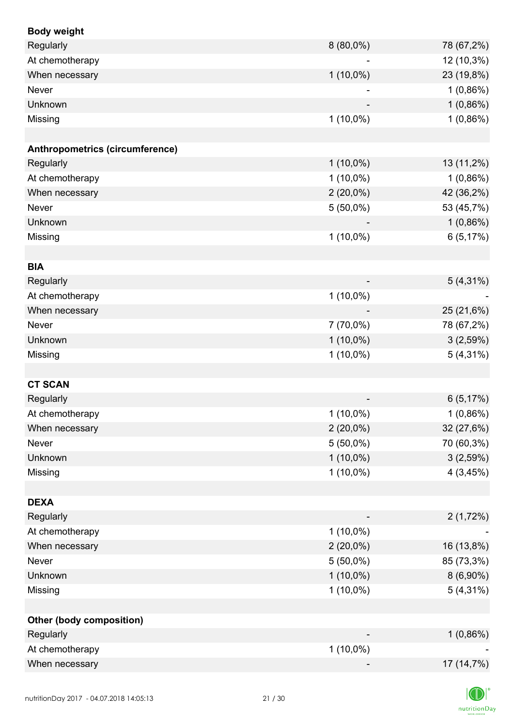| <b>Body weight</b>              |             |             |
|---------------------------------|-------------|-------------|
| Regularly                       | $8(80,0\%)$ | 78 (67,2%)  |
| At chemotherapy                 |             | 12 (10,3%)  |
| When necessary                  | $1(10,0\%)$ | 23 (19,8%)  |
| Never                           |             | 1(0,86%)    |
| Unknown                         |             | $1(0,86\%)$ |
| Missing                         | $1(10,0\%)$ | 1(0,86%)    |
|                                 |             |             |
| Anthropometrics (circumference) |             |             |
| Regularly                       | $1(10,0\%)$ | 13 (11,2%)  |
| At chemotherapy                 | $1(10,0\%)$ | $1(0,86\%)$ |
| When necessary                  | $2(20,0\%)$ | 42 (36,2%)  |
| Never                           | $5(50,0\%)$ | 53 (45,7%)  |
| Unknown                         |             | 1(0,86%)    |
| Missing                         | $1(10,0\%)$ | 6(5,17%)    |
|                                 |             |             |
| <b>BIA</b>                      |             |             |
| Regularly                       |             | $5(4,31\%)$ |
| At chemotherapy                 | $1(10,0\%)$ |             |
| When necessary                  |             | 25 (21,6%)  |
| Never                           | 7 (70,0%)   | 78 (67,2%)  |
| Unknown                         | $1(10,0\%)$ | 3(2,59%)    |
| Missing                         | $1(10,0\%)$ | $5(4,31\%)$ |
|                                 |             |             |
| <b>CT SCAN</b>                  |             |             |
| Regularly                       |             | 6(5,17%)    |
| At chemotherapy                 | $1(10,0\%)$ | 1(0,86%)    |
| When necessary                  | $2(20,0\%)$ | 32 (27,6%)  |
| Never                           | $5(50,0\%)$ | 70 (60,3%)  |
| Unknown                         | $1(10,0\%)$ | 3(2,59%)    |
| Missing                         | $1(10,0\%)$ | 4(3,45%)    |
|                                 |             |             |
| <b>DEXA</b>                     |             |             |
| Regularly                       |             | 2(1,72%)    |
| At chemotherapy                 | $1(10,0\%)$ |             |
| When necessary                  | $2(20,0\%)$ | 16 (13,8%)  |
| Never                           | $5(50,0\%)$ | 85 (73,3%)  |
| Unknown                         | $1(10,0\%)$ | $8(6,90\%)$ |
| Missing                         | $1(10,0\%)$ | $5(4,31\%)$ |
|                                 |             |             |
| <b>Other (body composition)</b> |             |             |
| Regularly                       |             | $1(0,86\%)$ |
| At chemotherapy                 | $1(10,0\%)$ |             |
| When necessary                  |             | 17 (14,7%)  |
|                                 |             |             |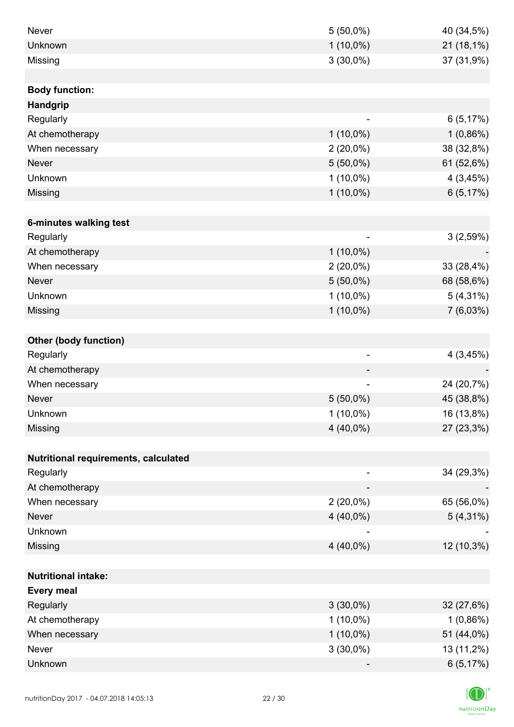| <b>Never</b>                         | $5(50,0\%)$                  | 40 (34,5%)  |
|--------------------------------------|------------------------------|-------------|
| Unknown                              | $1(10,0\%)$                  | 21 (18,1%)  |
| Missing                              | $3(30,0\%)$                  | 37 (31,9%)  |
|                                      |                              |             |
| <b>Body function:</b>                |                              |             |
| Handgrip                             |                              |             |
| Regularly                            |                              | 6(5,17%)    |
| At chemotherapy                      | $1(10,0\%)$                  | $1(0,86\%)$ |
| When necessary                       | $2(20,0\%)$                  | 38 (32,8%)  |
| <b>Never</b>                         | $5(50,0\%)$                  | 61 (52,6%)  |
| Unknown                              | $1(10,0\%)$                  | 4(3,45%)    |
| Missing                              | $1(10,0\%)$                  | 6(5,17%)    |
|                                      |                              |             |
| 6-minutes walking test               |                              |             |
| Regularly                            | $\overline{\phantom{a}}$     | 3(2,59%)    |
| At chemotherapy                      | $1(10,0\%)$                  |             |
| When necessary                       | $2(20,0\%)$                  | 33 (28,4%)  |
| <b>Never</b>                         | $5(50,0\%)$                  | 68 (58,6%)  |
| Unknown                              | $1(10,0\%)$                  | $5(4,31\%)$ |
| Missing                              | $1(10,0\%)$                  | 7(6,03%)    |
|                                      |                              |             |
| <b>Other (body function)</b>         |                              |             |
| Regularly                            | $\overline{\phantom{a}}$     | 4(3,45%)    |
| At chemotherapy                      |                              |             |
| When necessary                       | $\qquad \qquad \blacksquare$ | 24 (20,7%)  |
| <b>Never</b>                         | $5(50,0\%)$                  | 45 (38,8%)  |
| Unknown                              | $1(10,0\%)$                  | 16 (13,8%)  |
| Missing                              | 4 (40,0%)                    | 27 (23,3%)  |
|                                      |                              |             |
| Nutritional requirements, calculated |                              |             |
| Regularly                            |                              | 34 (29,3%)  |
| At chemotherapy                      |                              |             |
| When necessary                       | $2(20,0\%)$                  | 65 (56,0%)  |
| <b>Never</b>                         | $4(40,0\%)$                  | $5(4,31\%)$ |
| Unknown                              |                              |             |
| Missing                              | $4(40,0\%)$                  | 12 (10,3%)  |
|                                      |                              |             |
| <b>Nutritional intake:</b>           |                              |             |
| <b>Every meal</b>                    |                              |             |
| Regularly                            | $3(30,0\%)$                  | 32 (27,6%)  |
| At chemotherapy                      | $1(10,0\%)$                  | $1(0,86\%)$ |
| When necessary                       | $1(10,0\%)$                  | 51 (44,0%)  |
| Never                                | $3(30,0\%)$                  | 13 (11,2%)  |
| Unknown                              |                              | 6(5,17%)    |

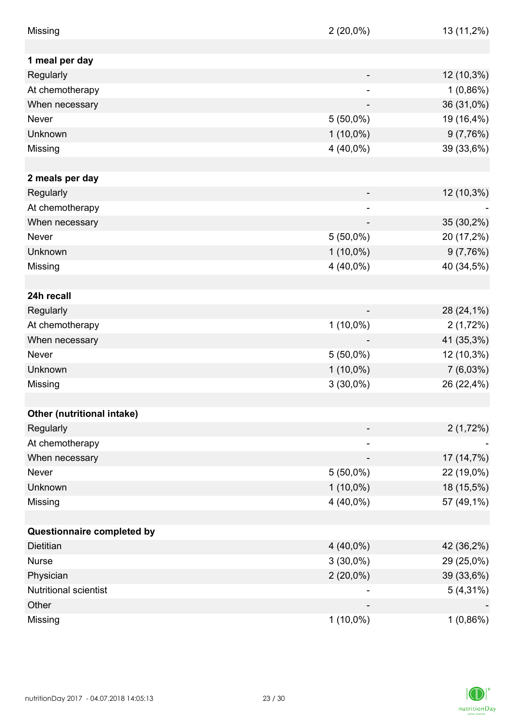| Missing                    | $2(20,0\%)$ | 13 (11,2%)  |
|----------------------------|-------------|-------------|
|                            |             |             |
| 1 meal per day             |             |             |
| Regularly                  |             | 12 (10,3%)  |
| At chemotherapy            |             | $1(0,86\%)$ |
| When necessary             |             | 36 (31,0%)  |
| Never                      | $5(50,0\%)$ | 19 (16,4%)  |
| Unknown                    | $1(10,0\%)$ | 9(7,76%)    |
| Missing                    | 4 (40,0%)   | 39 (33,6%)  |
|                            |             |             |
| 2 meals per day            |             |             |
| Regularly                  |             | 12 (10,3%)  |
| At chemotherapy            | ÷           |             |
| When necessary             |             | 35 (30,2%)  |
| <b>Never</b>               | $5(50,0\%)$ | 20 (17,2%)  |
| Unknown                    | $1(10,0\%)$ | 9(7,76%)    |
| Missing                    | 4 (40,0%)   | 40 (34,5%)  |
|                            |             |             |
| 24h recall                 |             |             |
| Regularly                  |             | 28 (24,1%)  |
| At chemotherapy            | $1(10,0\%)$ | 2(1,72%)    |
| When necessary             |             | 41 (35,3%)  |
| Never                      | $5(50,0\%)$ | 12 (10,3%)  |
| Unknown                    | $1(10,0\%)$ | $7(6,03\%)$ |
| Missing                    | $3(30,0\%)$ | 26 (22,4%)  |
|                            |             |             |
| Other (nutritional intake) |             |             |
| Regularly                  |             | 2(1,72%)    |
| At chemotherapy            |             |             |
| When necessary             |             | 17 (14,7%)  |
| Never                      | $5(50,0\%)$ | 22 (19,0%)  |
| Unknown                    | $1(10,0\%)$ | 18 (15,5%)  |
| Missing                    | $4(40,0\%)$ | 57 (49,1%)  |
|                            |             |             |
| Questionnaire completed by |             |             |
| <b>Dietitian</b>           | $4(40,0\%)$ | 42 (36,2%)  |
| <b>Nurse</b>               | $3(30,0\%)$ | 29 (25,0%)  |
| Physician                  | $2(20,0\%)$ | 39 (33,6%)  |
| Nutritional scientist      |             | $5(4,31\%)$ |
| Other                      |             |             |
| Missing                    | $1(10,0\%)$ | $1(0,86\%)$ |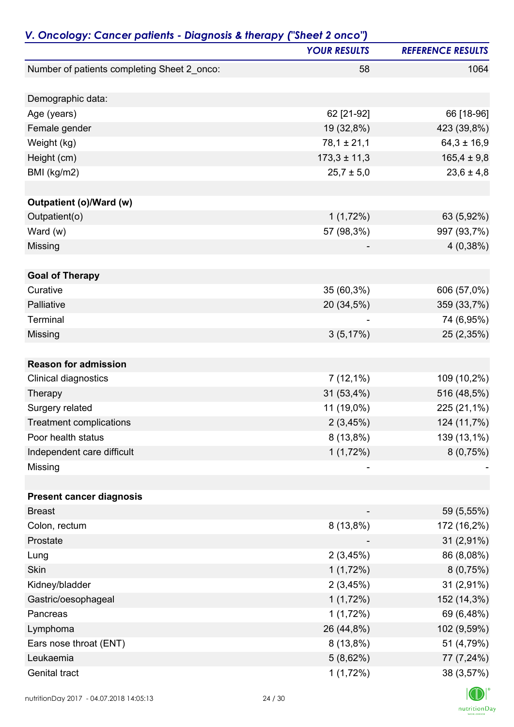|                                             | <b>YOUR RESULTS</b> | <b>REFERENCE RESULTS</b> |
|---------------------------------------------|---------------------|--------------------------|
| Number of patients completing Sheet 2_onco: | 58                  | 1064                     |
| Demographic data:                           |                     |                          |
| Age (years)                                 | 62 [21-92]          | 66 [18-96]               |
| Female gender                               | 19 (32,8%)          | 423 (39,8%)              |
| Weight (kg)                                 | $78,1 \pm 21,1$     | $64,3 \pm 16,9$          |
| Height (cm)                                 | $173,3 \pm 11,3$    | $165,4 \pm 9,8$          |
| BMI (kg/m2)                                 | $25,7 \pm 5,0$      | $23,6 \pm 4,8$           |
| Outpatient (o)/Ward (w)                     |                     |                          |
| Outpatient(o)                               | 1(1,72%)            | 63 (5,92%)               |
| Ward (w)                                    | 57 (98,3%)          | 997 (93,7%)              |
| Missing                                     |                     | 4(0,38%)                 |
| <b>Goal of Therapy</b>                      |                     |                          |
| Curative                                    | 35 (60,3%)          | 606 (57,0%)              |
| Palliative                                  | 20 (34,5%)          | 359 (33,7%)              |
| Terminal                                    |                     | 74 (6,95%)               |
| Missing                                     | 3(5,17%)            | 25 (2,35%)               |
|                                             |                     |                          |
| <b>Reason for admission</b>                 |                     |                          |
| <b>Clinical diagnostics</b>                 | $7(12,1\%)$         | 109 (10,2%)              |
| Therapy                                     | 31 (53,4%)          | 516 (48,5%)              |
| Surgery related                             | 11 (19,0%)          | 225 (21,1%)              |
| <b>Treatment complications</b>              | 2(3,45%)            | 124 (11,7%)              |
| Poor health status                          | $8(13,8\%)$         | 139 (13,1%)              |
| Independent care difficult                  | 1(1,72%)            | 8(0,75%)                 |
| Missing                                     |                     |                          |
| <b>Present cancer diagnosis</b>             |                     |                          |
| <b>Breast</b>                               |                     | 59 (5,55%)               |
| Colon, rectum                               | $8(13,8\%)$         | 172 (16,2%)              |
| Prostate                                    |                     | 31 (2,91%)               |
| Lung                                        | 2(3,45%)            | 86 (8,08%)               |
| Skin                                        | 1(1,72%)            | 8(0,75%)                 |
| Kidney/bladder                              | 2(3,45%)            | 31 (2,91%)               |
| Gastric/oesophageal                         | 1(1,72%)            | 152 (14,3%)              |
| Pancreas                                    | 1(1,72%)            | 69 (6,48%)               |
| Lymphoma                                    | 26 (44,8%)          | 102 (9,59%)              |
| Ears nose throat (ENT)                      | 8 (13,8%)           | 51 (4,79%)               |
| Leukaemia                                   | 5(8,62%)            | 77 (7,24%)               |
| Genital tract                               | 1(1,72%)            | 38 (3,57%)               |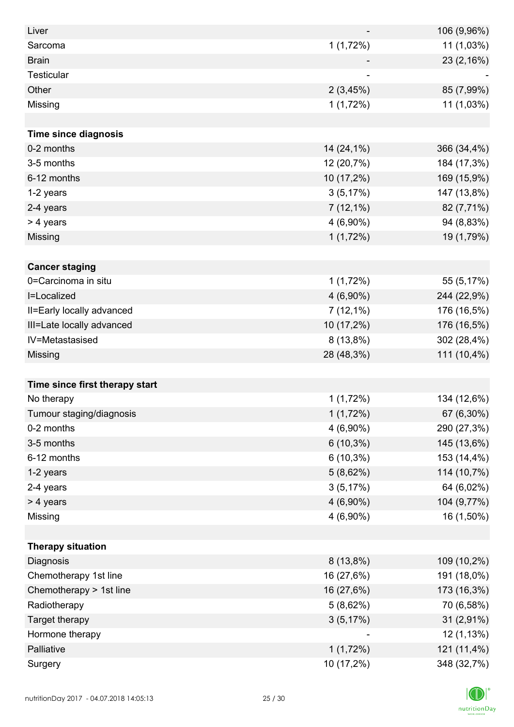| Liver                          |             | 106 (9,96%) |
|--------------------------------|-------------|-------------|
| Sarcoma                        | 1(1,72%)    | 11 (1,03%)  |
| <b>Brain</b>                   |             | 23 (2,16%)  |
| <b>Testicular</b>              |             |             |
| Other                          | 2(3,45%)    | 85 (7,99%)  |
| Missing                        | 1(1,72%)    | 11 (1,03%)  |
|                                |             |             |
| <b>Time since diagnosis</b>    |             |             |
| 0-2 months                     | 14 (24,1%)  | 366 (34,4%) |
| 3-5 months                     | 12 (20,7%)  | 184 (17,3%) |
| 6-12 months                    | 10 (17,2%)  | 169 (15,9%) |
| 1-2 years                      | 3(5,17%)    | 147 (13,8%) |
| 2-4 years                      | $7(12,1\%)$ | 82 (7,71%)  |
| > 4 years                      | $4(6,90\%)$ | 94 (8,83%)  |
| Missing                        | 1(1,72%)    | 19 (1,79%)  |
|                                |             |             |
| <b>Cancer staging</b>          |             |             |
| 0=Carcinoma in situ            | 1(1,72%)    | 55 (5,17%)  |
| I=Localized                    | $4(6,90\%)$ | 244 (22,9%) |
| II=Early locally advanced      | $7(12,1\%)$ | 176 (16,5%) |
| III=Late locally advanced      | 10 (17,2%)  | 176 (16,5%) |
| IV=Metastasised                | $8(13,8\%)$ | 302 (28,4%) |
| Missing                        | 28 (48,3%)  | 111 (10,4%) |
|                                |             |             |
| Time since first therapy start |             |             |
| No therapy                     | 1(1,72%)    | 134 (12,6%) |
| Tumour staging/diagnosis       | $1(1,72\%)$ | 67 (6,30%)  |
| 0-2 months                     | $4(6,90\%)$ | 290 (27,3%) |
| 3-5 months                     | $6(10,3\%)$ | 145 (13,6%) |
| 6-12 months                    | $6(10,3\%)$ | 153 (14,4%) |
| 1-2 years                      | 5(8,62%)    | 114 (10,7%) |
| 2-4 years                      | 3(5,17%)    | 64 (6,02%)  |
| > 4 years                      | $4(6,90\%)$ | 104 (9,77%) |
| Missing                        | $4(6,90\%)$ | 16 (1,50%)  |
|                                |             |             |
| <b>Therapy situation</b>       |             |             |
| Diagnosis                      | $8(13,8\%)$ | 109 (10,2%) |
| Chemotherapy 1st line          | 16 (27,6%)  | 191 (18,0%) |
| Chemotherapy > 1st line        | 16 (27,6%)  | 173 (16,3%) |
| Radiotherapy                   | 5(8,62%)    | 70 (6,58%)  |
| Target therapy                 | 3(5,17%)    | 31 (2,91%)  |
| Hormone therapy                |             | 12 (1,13%)  |
| Palliative                     | 1(1,72%)    | 121 (11,4%) |
| Surgery                        | 10 (17,2%)  | 348 (32,7%) |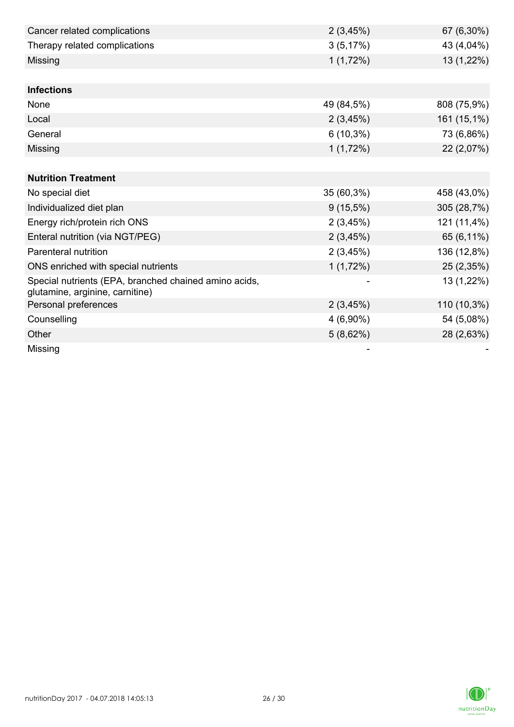| Cancer related complications                                                             | 2(3,45%)    | 67 (6,30%)  |
|------------------------------------------------------------------------------------------|-------------|-------------|
| Therapy related complications                                                            | 3(5,17%)    | 43 (4,04%)  |
| Missing                                                                                  | 1(1,72%)    | 13 (1,22%)  |
|                                                                                          |             |             |
| <b>Infections</b>                                                                        |             |             |
| None                                                                                     | 49 (84,5%)  | 808 (75,9%) |
| Local                                                                                    | 2(3,45%)    | 161 (15,1%) |
| General                                                                                  | $6(10,3\%)$ | 73 (6,86%)  |
| Missing                                                                                  | 1(1,72%)    | 22 (2,07%)  |
|                                                                                          |             |             |
| <b>Nutrition Treatment</b>                                                               |             |             |
| No special diet                                                                          | 35 (60,3%)  | 458 (43,0%) |
| Individualized diet plan                                                                 | $9(15,5\%)$ | 305 (28,7%) |
| Energy rich/protein rich ONS                                                             | 2(3,45%)    | 121 (11,4%) |
| Enteral nutrition (via NGT/PEG)                                                          | 2(3,45%)    | 65 (6,11%)  |
| Parenteral nutrition                                                                     | 2(3,45%)    | 136 (12,8%) |
| ONS enriched with special nutrients                                                      | 1(1,72%)    | 25 (2,35%)  |
| Special nutrients (EPA, branched chained amino acids,<br>glutamine, arginine, carnitine) |             | 13 (1,22%)  |
| Personal preferences                                                                     | 2(3,45%)    | 110 (10,3%) |
| Counselling                                                                              | $4(6,90\%)$ | 54 (5,08%)  |
| Other                                                                                    | 5(8,62%)    | 28 (2,63%)  |
| Missing                                                                                  |             |             |

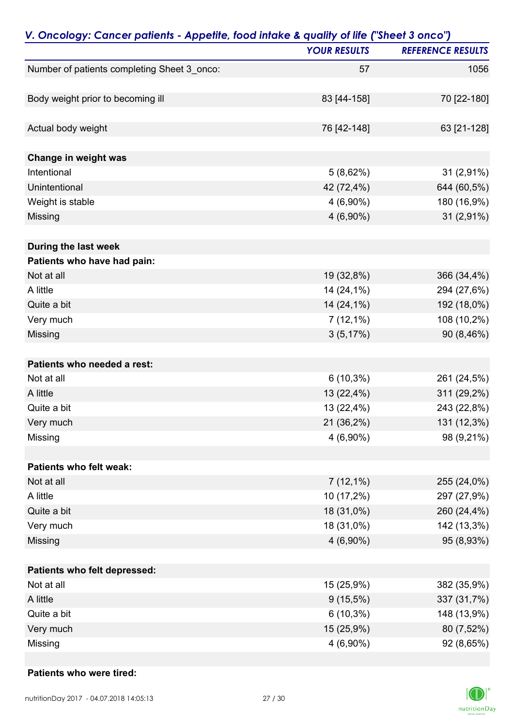| V. Oncology: Cancer patients - Appetite, food intake & quality of life ("Sheet 3 onco") |                     |                          |
|-----------------------------------------------------------------------------------------|---------------------|--------------------------|
|                                                                                         | <b>YOUR RESULTS</b> | <b>REFERENCE RESULTS</b> |
| Number of patients completing Sheet 3_onco:                                             | 57                  | 1056                     |
|                                                                                         |                     |                          |
| Body weight prior to becoming ill                                                       | 83 [44-158]         | 70 [22-180]              |
| Actual body weight                                                                      | 76 [42-148]         | 63 [21-128]              |
| Change in weight was                                                                    |                     |                          |
| Intentional                                                                             | 5(8,62%)            | 31 (2,91%)               |
| Unintentional                                                                           | 42 (72,4%)          | 644 (60,5%)              |
| Weight is stable                                                                        | 4 (6,90%)           | 180 (16,9%)              |
| Missing                                                                                 | $4(6,90\%)$         | 31 (2,91%)               |
| During the last week                                                                    |                     |                          |
| Patients who have had pain:                                                             |                     |                          |
| Not at all                                                                              | 19 (32,8%)          | 366 (34,4%)              |
| A little                                                                                | 14 (24,1%)          | 294 (27,6%)              |
| Quite a bit                                                                             | 14 (24,1%)          | 192 (18,0%)              |
| Very much                                                                               | $7(12,1\%)$         | 108 (10,2%)              |
| Missing                                                                                 | 3(5,17%)            | 90 (8,46%)               |
| Patients who needed a rest:                                                             |                     |                          |
| Not at all                                                                              | $6(10,3\%)$         | 261 (24,5%)              |
| A little                                                                                | 13 (22,4%)          | 311 (29,2%)              |
| Quite a bit                                                                             | 13 (22,4%)          | 243 (22,8%)              |
| Very much                                                                               | 21 (36,2%)          | 131 (12,3%)              |
| Missing                                                                                 | 4 (6,90%)           | 98 (9,21%)               |
| Patients who felt weak:                                                                 |                     |                          |
| Not at all                                                                              | $7(12,1\%)$         | 255 (24,0%)              |
| A little                                                                                | 10 (17,2%)          | 297 (27,9%)              |
| Quite a bit                                                                             | 18 (31,0%)          | 260 (24,4%)              |
| Very much                                                                               | 18 (31,0%)          | 142 (13,3%)              |
| Missing                                                                                 | 4 (6,90%)           | 95 (8,93%)               |
| Patients who felt depressed:                                                            |                     |                          |
| Not at all                                                                              | 15 (25,9%)          | 382 (35,9%)              |
| A little                                                                                | $9(15,5\%)$         | 337 (31,7%)              |
| Quite a bit                                                                             | $6(10,3\%)$         | 148 (13,9%)              |
| Very much                                                                               | 15 (25,9%)          | 80 (7,52%)               |
| Missing                                                                                 | 4 (6,90%)           | 92 (8,65%)               |

#### **Patients who were tired:**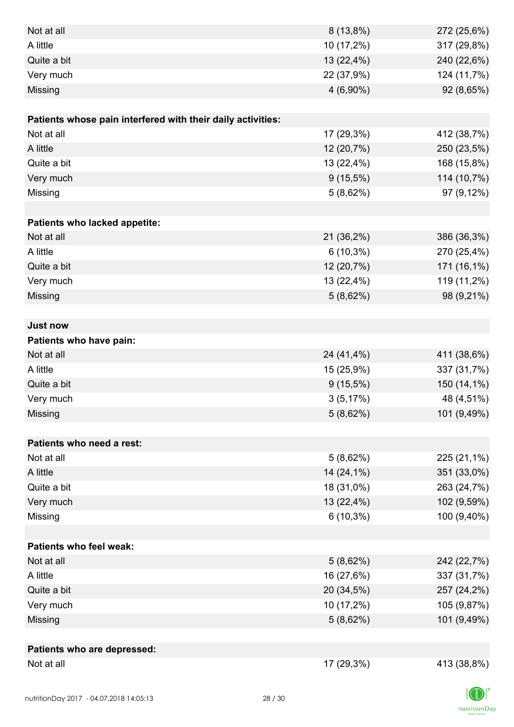| Not at all                                                  | $8(13,8\%)$ | 272 (25,6%) |
|-------------------------------------------------------------|-------------|-------------|
| A little                                                    | 10 (17,2%)  | 317 (29,8%) |
| Quite a bit                                                 | 13 (22,4%)  | 240 (22,6%) |
| Very much                                                   | 22 (37,9%)  | 124 (11,7%) |
| Missing                                                     | $4(6,90\%)$ | 92 (8,65%)  |
|                                                             |             |             |
| Patients whose pain interfered with their daily activities: |             |             |
| Not at all                                                  | 17 (29,3%)  | 412 (38,7%) |
| A little                                                    | 12 (20,7%)  | 250 (23,5%) |
| Quite a bit                                                 | 13 (22,4%)  | 168 (15,8%) |
| Very much                                                   | $9(15,5\%)$ | 114 (10,7%) |
| Missing                                                     | 5(8,62%)    | 97 (9,12%)  |
|                                                             |             |             |
| Patients who lacked appetite:                               |             |             |
| Not at all                                                  | 21 (36,2%)  | 386 (36,3%) |
| A little                                                    | $6(10,3\%)$ | 270 (25,4%) |
| Quite a bit                                                 | 12 (20,7%)  | 171 (16,1%) |
| Very much                                                   | 13 (22,4%)  | 119 (11,2%) |
| Missing                                                     | 5(8,62%)    | 98 (9,21%)  |
|                                                             |             |             |
| <b>Just now</b>                                             |             |             |
| Patients who have pain:                                     |             |             |
| Not at all                                                  | 24 (41,4%)  | 411 (38,6%) |
| A little                                                    | 15 (25,9%)  | 337 (31,7%) |
| Quite a bit                                                 | $9(15,5\%)$ | 150 (14,1%) |
| Very much                                                   | 3(5,17%)    | 48 (4,51%)  |
| Missing                                                     | 5(8,62%)    | 101 (9,49%) |
|                                                             |             |             |
| Patients who need a rest:                                   |             |             |
| Not at all                                                  | 5(8,62%)    | 225 (21,1%) |
| A little                                                    | 14 (24,1%)  | 351 (33,0%) |
| Quite a bit                                                 | 18 (31,0%)  | 263 (24,7%) |
| Very much                                                   | 13 (22,4%)  | 102 (9,59%) |
| Missing                                                     | $6(10,3\%)$ | 100 (9,40%) |
|                                                             |             |             |
| <b>Patients who feel weak:</b>                              |             |             |
| Not at all                                                  | 5(8,62%)    | 242 (22,7%) |
| A little                                                    | 16 (27,6%)  | 337 (31,7%) |
| Quite a bit                                                 | 20 (34,5%)  | 257 (24,2%) |
| Very much                                                   | 10 (17,2%)  | 105 (9,87%) |
| Missing                                                     | 5(8,62%)    | 101 (9,49%) |
|                                                             |             |             |
| Patients who are depressed:                                 |             |             |
| Not at all                                                  | 17 (29,3%)  | 413 (38,8%) |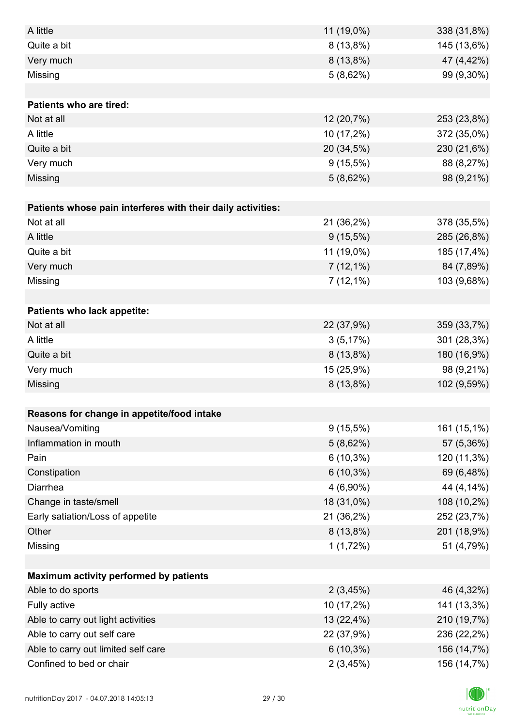| A little                                                    | 11 (19,0%)  | 338 (31,8%) |
|-------------------------------------------------------------|-------------|-------------|
| Quite a bit                                                 | $8(13,8\%)$ | 145 (13,6%) |
| Very much                                                   | $8(13,8\%)$ | 47 (4,42%)  |
| Missing                                                     | 5(8,62%)    | 99 (9,30%)  |
|                                                             |             |             |
| <b>Patients who are tired:</b>                              |             |             |
| Not at all                                                  | 12 (20,7%)  | 253 (23,8%) |
| A little                                                    | 10 (17,2%)  | 372 (35,0%) |
| Quite a bit                                                 | 20 (34,5%)  | 230 (21,6%) |
| Very much                                                   | $9(15,5\%)$ | 88 (8,27%)  |
| Missing                                                     | 5(8,62%)    | 98 (9,21%)  |
|                                                             |             |             |
| Patients whose pain interferes with their daily activities: |             |             |
| Not at all                                                  | 21 (36,2%)  | 378 (35,5%) |
| A little                                                    | $9(15,5\%)$ | 285 (26,8%) |
| Quite a bit                                                 | 11 (19,0%)  | 185 (17,4%) |
| Very much                                                   | $7(12,1\%)$ | 84 (7,89%)  |
| Missing                                                     | $7(12,1\%)$ | 103 (9,68%) |
|                                                             |             |             |
| Patients who lack appetite:                                 |             |             |
| Not at all                                                  | 22 (37,9%)  | 359 (33,7%) |
| A little                                                    | 3(5,17%)    | 301 (28,3%) |
| Quite a bit                                                 | $8(13,8\%)$ | 180 (16,9%) |
| Very much                                                   | 15 (25,9%)  | 98 (9,21%)  |
| Missing                                                     | $8(13,8\%)$ | 102 (9,59%) |
|                                                             |             |             |
| Reasons for change in appetite/food intake                  |             |             |
| Nausea/Vomiting                                             | $9(15,5\%)$ | 161 (15,1%) |
| Inflammation in mouth                                       | 5(8,62%)    | 57 (5,36%)  |
| Pain                                                        | $6(10,3\%)$ | 120 (11,3%) |
| Constipation                                                | $6(10,3\%)$ | 69 (6,48%)  |
| Diarrhea                                                    | $4(6,90\%)$ | 44 (4,14%)  |
| Change in taste/smell                                       | 18 (31,0%)  | 108 (10,2%) |
| Early satiation/Loss of appetite                            | 21 (36,2%)  | 252 (23,7%) |
| Other                                                       | $8(13,8\%)$ | 201 (18,9%) |
| Missing                                                     | 1(1,72%)    | 51 (4,79%)  |
|                                                             |             |             |
| Maximum activity performed by patients                      |             |             |
| Able to do sports                                           | 2(3,45%)    | 46 (4,32%)  |
| Fully active                                                | 10 (17,2%)  | 141 (13,3%) |
| Able to carry out light activities                          | 13 (22,4%)  | 210 (19,7%) |
| Able to carry out self care                                 | 22 (37,9%)  | 236 (22,2%) |
| Able to carry out limited self care                         | $6(10,3\%)$ | 156 (14,7%) |
| Confined to bed or chair                                    | 2(3,45%)    | 156 (14,7%) |